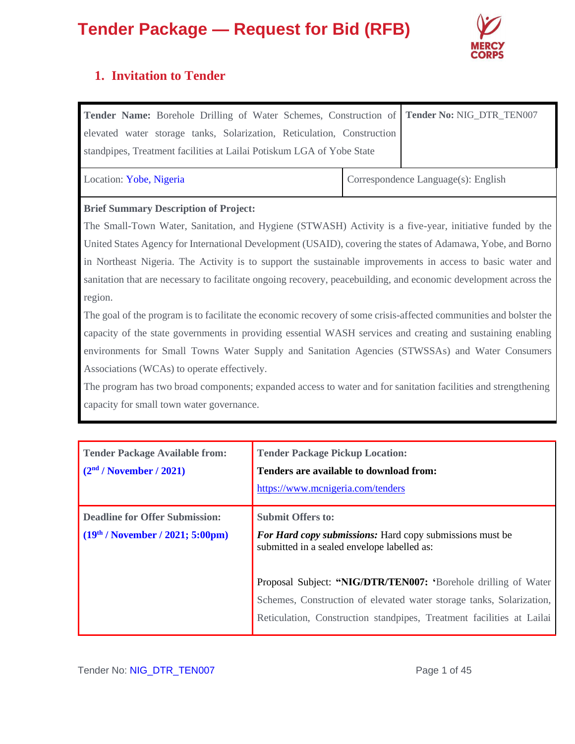

### **1. Invitation to Tender**

| Tender Name: Borehole Drilling of Water Schemes, Construction of<br>elevated water storage tanks, Solarization, Reticulation, Construction<br>standpipes, Treatment facilities at Lailai Potiskum LGA of Yobe State |  | Tender No: NIG_DTR_TEN007           |  |  |  |
|---------------------------------------------------------------------------------------------------------------------------------------------------------------------------------------------------------------------|--|-------------------------------------|--|--|--|
| Location: Yobe, Nigeria                                                                                                                                                                                             |  | Correspondence Language(s): English |  |  |  |
| <b>Brief Summary Description of Project:</b>                                                                                                                                                                        |  |                                     |  |  |  |
| The Small-Town Water, Sanitation, and Hygiene (STWASH) Activity is a five-year, initiative funded by the                                                                                                            |  |                                     |  |  |  |
| United States Agency for International Development (USAID), covering the states of Adamawa, Yobe, and Borno                                                                                                         |  |                                     |  |  |  |
| in Northeast Nigeria. The Activity is to support the sustainable improvements in access to basic water and                                                                                                          |  |                                     |  |  |  |
| sanitation that are necessary to facilitate ongoing recovery, peacebuilding, and economic development across the                                                                                                    |  |                                     |  |  |  |
| region.                                                                                                                                                                                                             |  |                                     |  |  |  |
| The goal of the program is to facilitate the economic recovery of some crisis-affected communities and bolster the                                                                                                  |  |                                     |  |  |  |
| capacity of the state governments in providing essential WASH services and creating and sustaining enabling                                                                                                         |  |                                     |  |  |  |

environments for Small Towns Water Supply and Sanitation Agencies (STWSSAs) and Water Consumers Associations (WCAs) to operate effectively.

The program has two broad components; expanded access to water and for sanitation facilities and strengthening capacity for small town water governance.

| <b>Tender Package Available from:</b><br>(2 <sup>nd</sup> / November / 2021) | <b>Tender Package Pickup Location:</b><br>Tenders are available to download from:<br>https://www.mcnigeria.com/tenders                                                                                          |
|------------------------------------------------------------------------------|-----------------------------------------------------------------------------------------------------------------------------------------------------------------------------------------------------------------|
| <b>Deadline for Offer Submission:</b><br>$(19th / November / 2021; 5:00pm)$  | <b>Submit Offers to:</b><br><b>For Hard copy submissions:</b> Hard copy submissions must be<br>submitted in a sealed envelope labelled as:                                                                      |
|                                                                              | Proposal Subject: "NIG/DTR/TEN007: 'Borehole drilling of Water<br>Schemes, Construction of elevated water storage tanks, Solarization,<br>Reticulation, Construction standpipes, Treatment facilities at Lailai |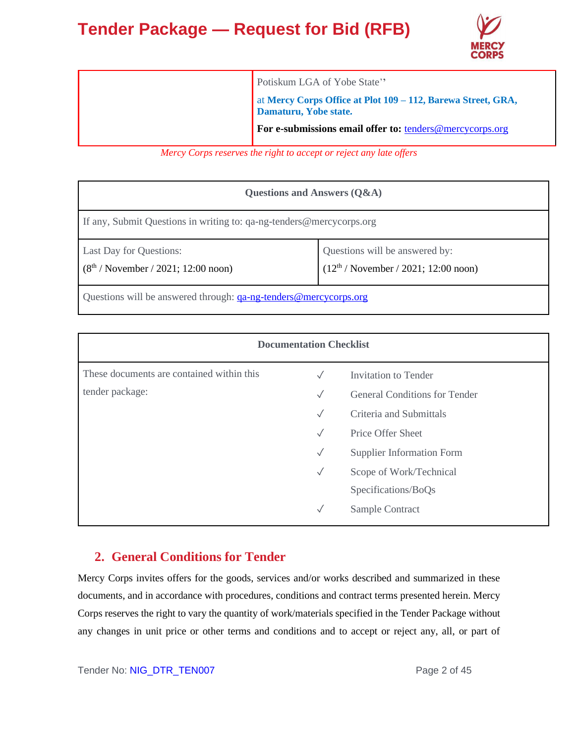

| Potiskum LGA of Yobe State"                                                           |
|---------------------------------------------------------------------------------------|
| at Mercy Corps Office at Plot 109 - 112, Barewa Street, GRA,<br>Damaturu, Yobe state. |
| For e-submissions email offer to: tenders@mercycorps.org                              |

*Mercy Corps reserves the right to accept or reject any late offers*

| Questions and Answers $(Q&A)$                                           |                                                                             |  |  |  |
|-------------------------------------------------------------------------|-----------------------------------------------------------------------------|--|--|--|
| If any, Submit Questions in writing to: qa-ng-tenders@mercycorps.org    |                                                                             |  |  |  |
| Last Day for Questions:<br>$(8th / November / 2021; 12:00 noon)$        | Questions will be answered by:<br>$(12^{th}$ / November / 2021; 12:00 noon) |  |  |  |
| Questions will be answered through: <u>qa-ng-tenders@mercycorps.org</u> |                                                                             |  |  |  |

| <b>Documentation Checklist</b>            |              |                                      |  |  |  |
|-------------------------------------------|--------------|--------------------------------------|--|--|--|
| These documents are contained within this | $\sqrt{}$    | Invitation to Tender                 |  |  |  |
| tender package:                           | $\checkmark$ | <b>General Conditions for Tender</b> |  |  |  |
|                                           | $\checkmark$ | Criteria and Submittals              |  |  |  |
|                                           | $\sqrt{}$    | Price Offer Sheet                    |  |  |  |
|                                           | $\checkmark$ | <b>Supplier Information Form</b>     |  |  |  |
|                                           | $\checkmark$ | Scope of Work/Technical              |  |  |  |
|                                           |              | Specifications/BoQs                  |  |  |  |
|                                           | $\checkmark$ | Sample Contract                      |  |  |  |

### **2. General Conditions for Tender**

Mercy Corps invites offers for the goods, services and/or works described and summarized in these documents, and in accordance with procedures, conditions and contract terms presented herein. Mercy Corps reserves the right to vary the quantity of work/materials specified in the Tender Package without any changes in unit price or other terms and conditions and to accept or reject any, all, or part of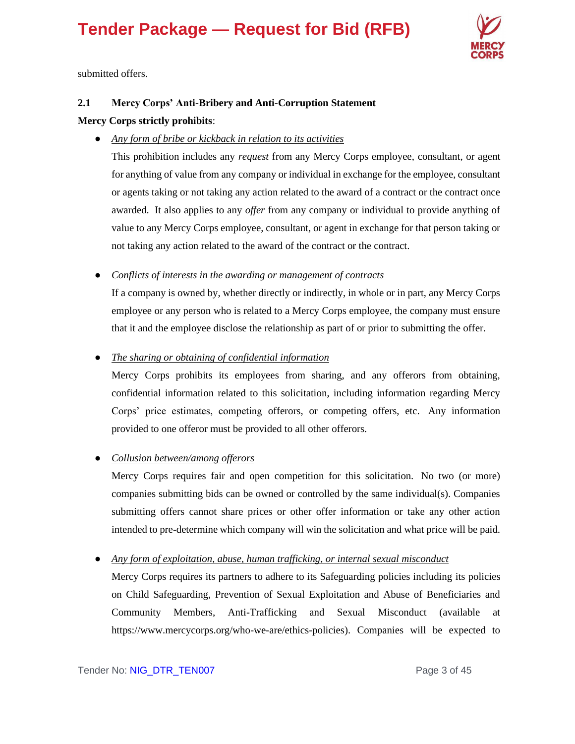

submitted offers.

### **2.1 Mercy Corps' Anti-Bribery and Anti-Corruption Statement**

### **Mercy Corps strictly prohibits**:

● *Any form of bribe or kickback in relation to its activities*

This prohibition includes any *request* from any Mercy Corps employee, consultant, or agent for anything of value from any company or individual in exchange for the employee, consultant or agents taking or not taking any action related to the award of a contract or the contract once awarded. It also applies to any *offer* from any company or individual to provide anything of value to any Mercy Corps employee, consultant, or agent in exchange for that person taking or not taking any action related to the award of the contract or the contract.

● *Conflicts of interests in the awarding or management of contracts*

If a company is owned by, whether directly or indirectly, in whole or in part, any Mercy Corps employee or any person who is related to a Mercy Corps employee, the company must ensure that it and the employee disclose the relationship as part of or prior to submitting the offer.

● *The sharing or obtaining of confidential information*

Mercy Corps prohibits its employees from sharing, and any offerors from obtaining, confidential information related to this solicitation, including information regarding Mercy Corps' price estimates, competing offerors, or competing offers, etc. Any information provided to one offeror must be provided to all other offerors.

### ● *Collusion between/among offerors*

Mercy Corps requires fair and open competition for this solicitation. No two (or more) companies submitting bids can be owned or controlled by the same individual(s). Companies submitting offers cannot share prices or other offer information or take any other action intended to pre-determine which company will win the solicitation and what price will be paid.

● *Any form of exploitation, abuse, human trafficking, or internal sexual misconduct*

Mercy Corps requires its partners to adhere to its Safeguarding policies including its policies on Child Safeguarding, Prevention of Sexual Exploitation and Abuse of Beneficiaries and Community Members, Anti-Trafficking and Sexual Misconduct (available at https://www.mercycorps.org/who-we-are/ethics-policies). Companies will be expected to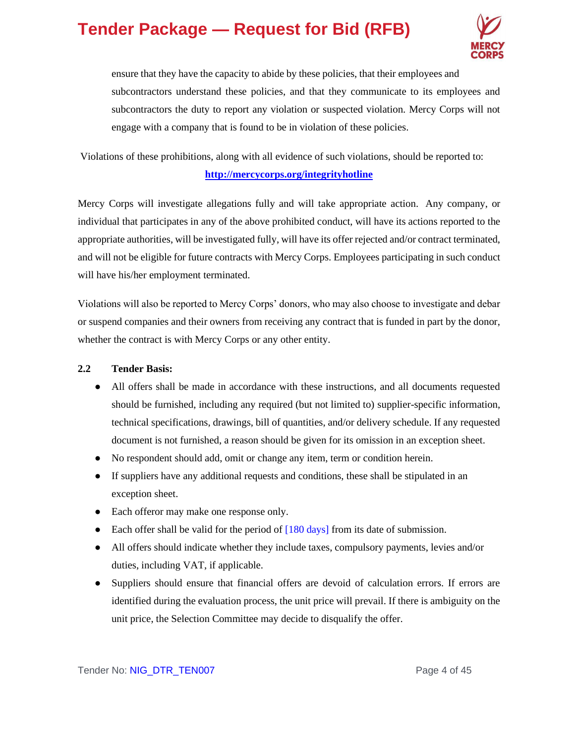

ensure that they have the capacity to abide by these policies, that their employees and subcontractors understand these policies, and that they communicate to its employees and subcontractors the duty to report any violation or suspected violation. Mercy Corps will not engage with a company that is found to be in violation of these policies.

Violations of these prohibitions, along with all evidence of such violations, should be reported to:

### **<http://mercycorps.org/integrityhotline>**

Mercy Corps will investigate allegations fully and will take appropriate action. Any company, or individual that participates in any of the above prohibited conduct, will have its actions reported to the appropriate authorities, will be investigated fully, will have its offer rejected and/or contract terminated, and will not be eligible for future contracts with Mercy Corps. Employees participating in such conduct will have his/her employment terminated.

Violations will also be reported to Mercy Corps' donors, who may also choose to investigate and debar or suspend companies and their owners from receiving any contract that is funded in part by the donor, whether the contract is with Mercy Corps or any other entity.

### **2.2 Tender Basis:**

- All offers shall be made in accordance with these instructions, and all documents requested should be furnished, including any required (but not limited to) supplier-specific information, technical specifications, drawings, bill of quantities, and/or delivery schedule. If any requested document is not furnished, a reason should be given for its omission in an exception sheet.
- No respondent should add, omit or change any item, term or condition herein.
- If suppliers have any additional requests and conditions, these shall be stipulated in an exception sheet.
- Each offeror may make one response only.
- Each offer shall be valid for the period of  $[180 \text{ days}]$  from its date of submission.
- All offers should indicate whether they include taxes, compulsory payments, levies and/or duties, including VAT, if applicable.
- Suppliers should ensure that financial offers are devoid of calculation errors. If errors are identified during the evaluation process, the unit price will prevail. If there is ambiguity on the unit price, the Selection Committee may decide to disqualify the offer.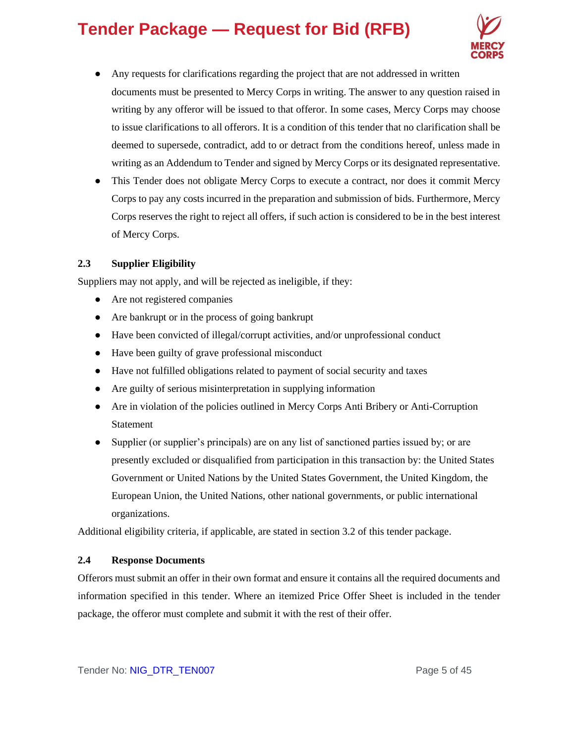

- Any requests for clarifications regarding the project that are not addressed in written documents must be presented to Mercy Corps in writing. The answer to any question raised in writing by any offeror will be issued to that offeror. In some cases, Mercy Corps may choose to issue clarifications to all offerors. It is a condition of this tender that no clarification shall be deemed to supersede, contradict, add to or detract from the conditions hereof, unless made in writing as an Addendum to Tender and signed by Mercy Corps or its designated representative.
- This Tender does not obligate Mercy Corps to execute a contract, nor does it commit Mercy Corps to pay any costs incurred in the preparation and submission of bids. Furthermore, Mercy Corps reserves the right to reject all offers, if such action is considered to be in the best interest of Mercy Corps.

### **2.3 Supplier Eligibility**

Suppliers may not apply, and will be rejected as ineligible, if they:

- Are not registered companies
- Are bankrupt or in the process of going bankrupt
- Have been convicted of illegal/corrupt activities, and/or unprofessional conduct
- Have been guilty of grave professional misconduct
- Have not fulfilled obligations related to payment of social security and taxes
- Are guilty of serious misinterpretation in supplying information
- Are in violation of the policies outlined in Mercy Corps Anti Bribery or Anti-Corruption Statement
- Supplier (or supplier's principals) are on any list of sanctioned parties issued by; or are presently excluded or disqualified from participation in this transaction by: the United States Government or United Nations by the United States Government, the United Kingdom, the European Union, the United Nations, other national governments, or public international organizations.

Additional eligibility criteria, if applicable, are stated in section 3.2 of this tender package.

### **2.4 Response Documents**

Offerors must submit an offer in their own format and ensure it contains all the required documents and information specified in this tender. Where an itemized Price Offer Sheet is included in the tender package, the offeror must complete and submit it with the rest of their offer.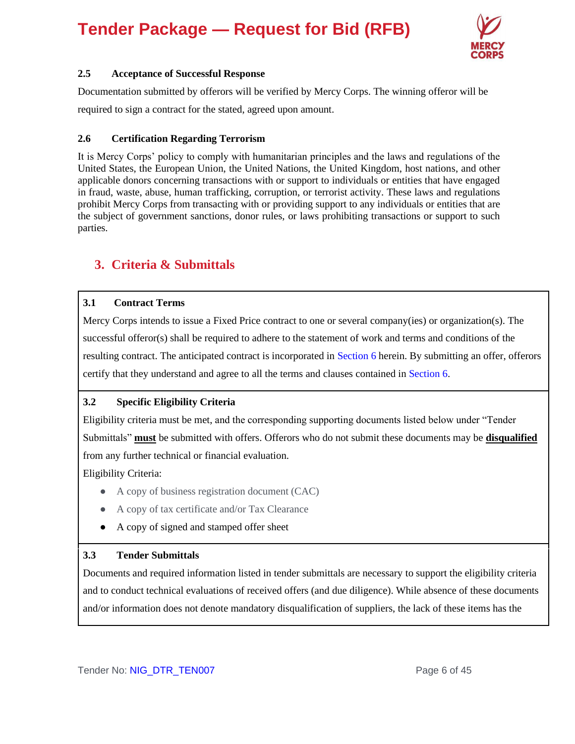

### **2.5 Acceptance of Successful Response**

Documentation submitted by offerors will be verified by Mercy Corps. The winning offeror will be required to sign a contract for the stated, agreed upon amount.

### **2.6 Certification Regarding Terrorism**

It is Mercy Corps' policy to comply with humanitarian principles and the laws and regulations of the United States, the European Union, the United Nations, the United Kingdom, host nations, and other applicable donors concerning transactions with or support to individuals or entities that have engaged in fraud, waste, abuse, human trafficking, corruption, or terrorist activity. These laws and regulations prohibit Mercy Corps from transacting with or providing support to any individuals or entities that are the subject of government sanctions, donor rules, or laws prohibiting transactions or support to such parties.

### **3. Criteria & Submittals**

### **3.1 Contract Terms**

Mercy Corps intends to issue a Fixed Price contract to one or several company(ies) or organization(s). The successful offeror(s) shall be required to adhere to the statement of work and terms and conditions of the resulting contract. The anticipated contract is incorporated in Section 6 herein. By submitting an offer, offerors certify that they understand and agree to all the terms and clauses contained in Section 6.

### **3.2 Specific Eligibility Criteria**

Eligibility criteria must be met, and the corresponding supporting documents listed below under "Tender Submittals" **must** be submitted with offers. Offerors who do not submit these documents may be **disqualified** from any further technical or financial evaluation.

Eligibility Criteria:

- A copy of business registration document (CAC)
- A copy of tax certificate and/or Tax Clearance
- A copy of signed and stamped offer sheet

### **3.3 Tender Submittals**

Documents and required information listed in tender submittals are necessary to support the eligibility criteria and to conduct technical evaluations of received offers (and due diligence). While absence of these documents and/or information does not denote mandatory disqualification of suppliers, the lack of these items has the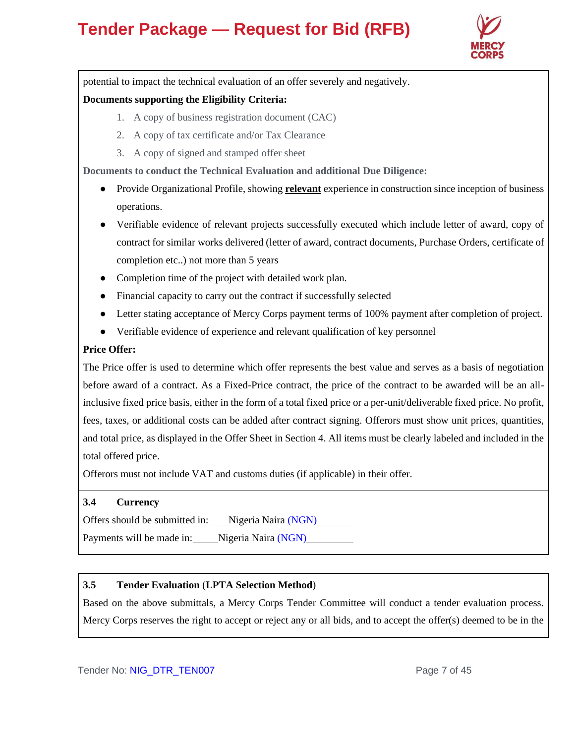

potential to impact the technical evaluation of an offer severely and negatively.

### **Documents supporting the Eligibility Criteria:**

- 1. A copy of business registration document (CAC)
- 2. A copy of tax certificate and/or Tax Clearance
- 3. A copy of signed and stamped offer sheet

**Documents to conduct the Technical Evaluation and additional Due Diligence:** 

- Provide Organizational Profile, showing **relevant** experience in construction since inception of business operations.
- Verifiable evidence of relevant projects successfully executed which include letter of award, copy of contract for similar works delivered (letter of award, contract documents, Purchase Orders, certificate of completion etc..) not more than 5 years
- Completion time of the project with detailed work plan.
- Financial capacity to carry out the contract if successfully selected
- Letter stating acceptance of Mercy Corps payment terms of 100% payment after completion of project.
- Verifiable evidence of experience and relevant qualification of key personnel

### **Price Offer:**

The Price offer is used to determine which offer represents the best value and serves as a basis of negotiation before award of a contract. As a Fixed-Price contract, the price of the contract to be awarded will be an allinclusive fixed price basis, either in the form of a total fixed price or a per-unit/deliverable fixed price. No profit, fees, taxes, or additional costs can be added after contract signing. Offerors must show unit prices, quantities, and total price, as displayed in the Offer Sheet in Section 4. All items must be clearly labeled and included in the total offered price.

Offerors must not include VAT and customs duties (if applicable) in their offer.

### **3.4 Currency**

Offers should be submitted in: Nigeria Naira (NGN)

Payments will be made in: Nigeria Naira (NGN)

### **3.5 Tender Evaluation** (**LPTA Selection Method**)

Based on the above submittals, a Mercy Corps Tender Committee will conduct a tender evaluation process. Mercy Corps reserves the right to accept or reject any or all bids, and to accept the offer(s) deemed to be in the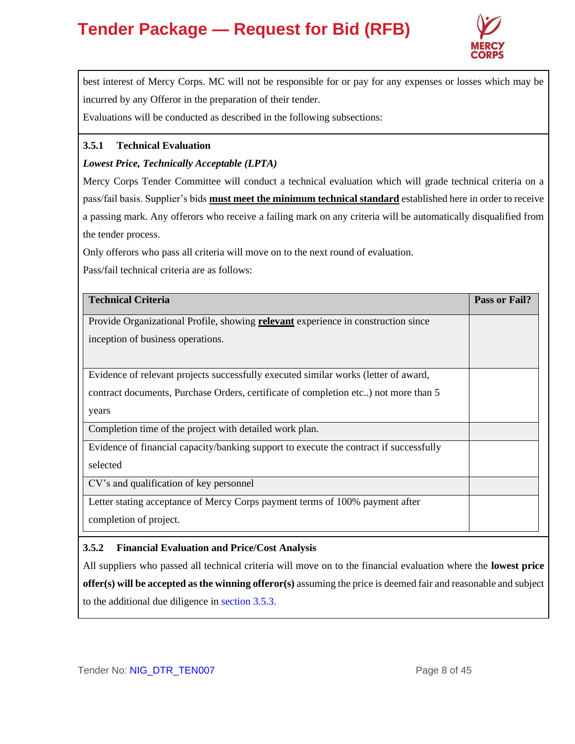

best interest of Mercy Corps. MC will not be responsible for or pay for any expenses or losses which may be incurred by any Offeror in the preparation of their tender.

Evaluations will be conducted as described in the following subsections:

### **3.5.1 Technical Evaluation**

### *Lowest Price, Technically Acceptable (LPTA)*

Mercy Corps Tender Committee will conduct a technical evaluation which will grade technical criteria on a pass/fail basis. Supplier's bids **must meet the minimum technical standard** established here in order to receive a passing mark. Any offerors who receive a failing mark on any criteria will be automatically disqualified from the tender process.

Only offerors who pass all criteria will move on to the next round of evaluation.

Pass/fail technical criteria are as follows:

| <b>Technical Criteria</b>                                                                | Pass or Fail? |
|------------------------------------------------------------------------------------------|---------------|
| Provide Organizational Profile, showing <b>relevant</b> experience in construction since |               |
| inception of business operations.                                                        |               |
|                                                                                          |               |
| Evidence of relevant projects successfully executed similar works (letter of award,      |               |
| contract documents, Purchase Orders, certificate of completion etc) not more than 5      |               |
| years                                                                                    |               |
| Completion time of the project with detailed work plan.                                  |               |
| Evidence of financial capacity/banking support to execute the contract if successfully   |               |
| selected                                                                                 |               |
| CV's and qualification of key personnel                                                  |               |
| Letter stating acceptance of Mercy Corps payment terms of 100% payment after             |               |
| completion of project.                                                                   |               |

### **3.5.2 Financial Evaluation and Price/Cost Analysis**

All suppliers who passed all technical criteria will move on to the financial evaluation where the **lowest price offer(s) will be accepted as the winning offeror(s)** assuming the price is deemed fair and reasonable and subject to the additional due diligence in section 3.5.3.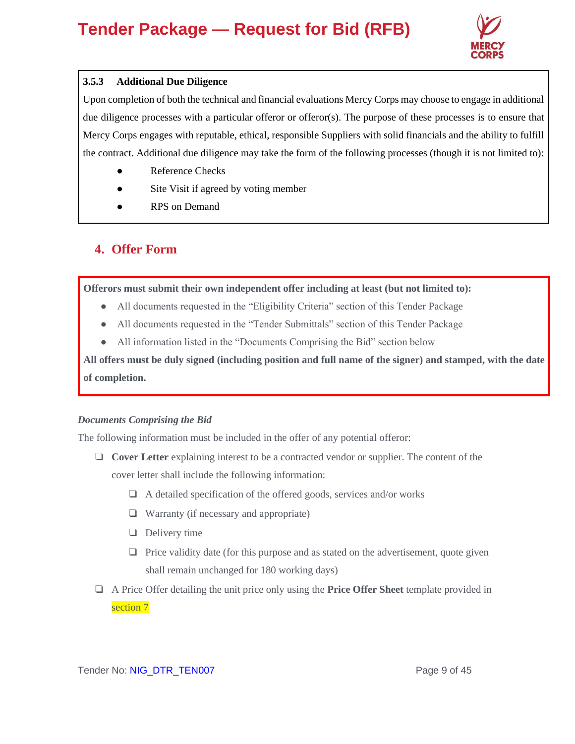

### **3.5.3 Additional Due Diligence**

Upon completion of both the technical and financial evaluations Mercy Corps may choose to engage in additional due diligence processes with a particular offeror or offeror(s). The purpose of these processes is to ensure that Mercy Corps engages with reputable, ethical, responsible Suppliers with solid financials and the ability to fulfill the contract. Additional due diligence may take the form of the following processes (though it is not limited to):

- **Reference Checks**
- Site Visit if agreed by voting member
- **RPS** on Demand

### **4. Offer Form**

**Offerors must submit their own independent offer including at least (but not limited to):**

- All documents requested in the "Eligibility Criteria" section of this Tender Package
- All documents requested in the "Tender Submittals" section of this Tender Package
- All information listed in the "Documents Comprising the Bid" section below

**All offers must be duly signed (including position and full name of the signer) and stamped, with the date of completion.**

### *Documents Comprising the Bid*

The following information must be included in the offer of any potential offeror:

- ❏ **Cover Letter** explaining interest to be a contracted vendor or supplier. The content of the cover letter shall include the following information:
	- ❏ A detailed specification of the offered goods, services and/or works
	- ❏ Warranty (if necessary and appropriate)
	- ❏ Delivery time
	- ❏ Price validity date (for this purpose and as stated on the advertisement, quote given shall remain unchanged for 180 working days)
- ❏ A Price Offer detailing the unit price only using the **Price Offer Sheet** template provided in section 7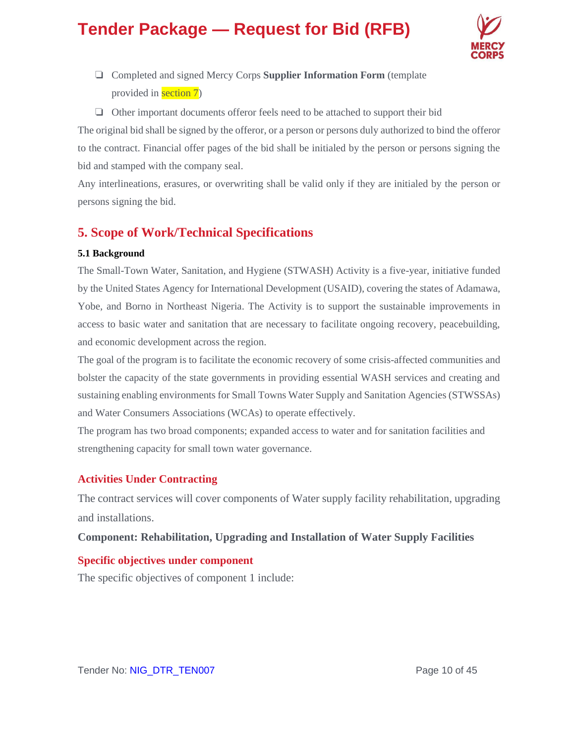

- ❏ Completed and signed Mercy Corps **Supplier Information Form** (template provided in section 7)
- ❏ Other important documents offeror feels need to be attached to support their bid

The original bid shall be signed by the offeror, or a person or persons duly authorized to bind the offeror to the contract. Financial offer pages of the bid shall be initialed by the person or persons signing the bid and stamped with the company seal.

Any interlineations, erasures, or overwriting shall be valid only if they are initialed by the person or persons signing the bid.

### **5. Scope of Work/Technical Specifications**

### **5.1 Background**

The Small-Town Water, Sanitation, and Hygiene (STWASH) Activity is a five-year, initiative funded by the United States Agency for International Development (USAID), covering the states of Adamawa, Yobe, and Borno in Northeast Nigeria. The Activity is to support the sustainable improvements in access to basic water and sanitation that are necessary to facilitate ongoing recovery, peacebuilding, and economic development across the region.

The goal of the program is to facilitate the economic recovery of some crisis-affected communities and bolster the capacity of the state governments in providing essential WASH services and creating and sustaining enabling environments for Small Towns Water Supply and Sanitation Agencies (STWSSAs) and Water Consumers Associations (WCAs) to operate effectively.

The program has two broad components; expanded access to water and for sanitation facilities and strengthening capacity for small town water governance.

### **Activities Under Contracting**

The contract services will cover components of Water supply facility rehabilitation, upgrading and installations.

### **Component: Rehabilitation, Upgrading and Installation of Water Supply Facilities**

### **Specific objectives under component**

The specific objectives of component 1 include: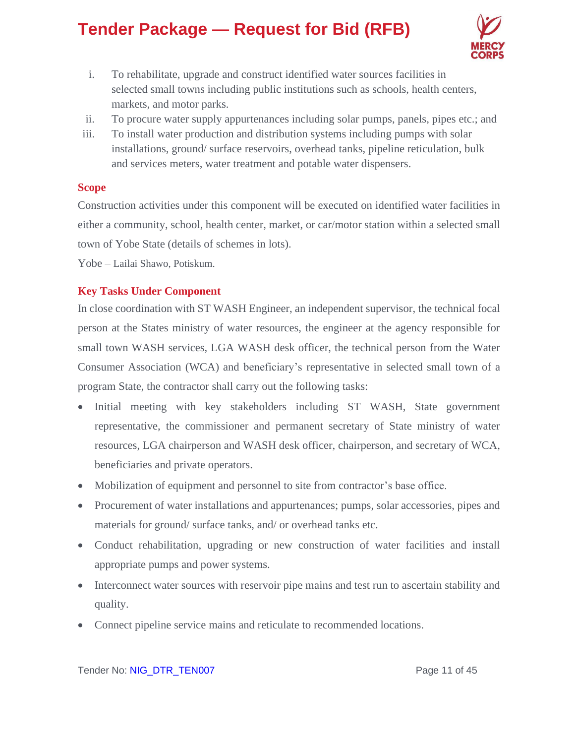

- i. To rehabilitate, upgrade and construct identified water sources facilities in selected small towns including public institutions such as schools, health centers, markets, and motor parks.
- ii. To procure water supply appurtenances including solar pumps, panels, pipes etc.; and
- iii. To install water production and distribution systems including pumps with solar installations, ground/ surface reservoirs, overhead tanks, pipeline reticulation, bulk and services meters, water treatment and potable water dispensers.

### **Scope**

Construction activities under this component will be executed on identified water facilities in either a community, school, health center, market, or car/motor station within a selected small town of Yobe State (details of schemes in lots).

Yobe – Lailai Shawo, Potiskum.

### **Key Tasks Under Component**

In close coordination with ST WASH Engineer, an independent supervisor, the technical focal person at the States ministry of water resources, the engineer at the agency responsible for small town WASH services, LGA WASH desk officer, the technical person from the Water Consumer Association (WCA) and beneficiary's representative in selected small town of a program State, the contractor shall carry out the following tasks:

- Initial meeting with key stakeholders including ST WASH, State government representative, the commissioner and permanent secretary of State ministry of water resources, LGA chairperson and WASH desk officer, chairperson, and secretary of WCA, beneficiaries and private operators.
- Mobilization of equipment and personnel to site from contractor's base office.
- Procurement of water installations and appurtenances; pumps, solar accessories, pipes and materials for ground/ surface tanks, and/ or overhead tanks etc.
- Conduct rehabilitation, upgrading or new construction of water facilities and install appropriate pumps and power systems.
- Interconnect water sources with reservoir pipe mains and test run to ascertain stability and quality.
- Connect pipeline service mains and reticulate to recommended locations.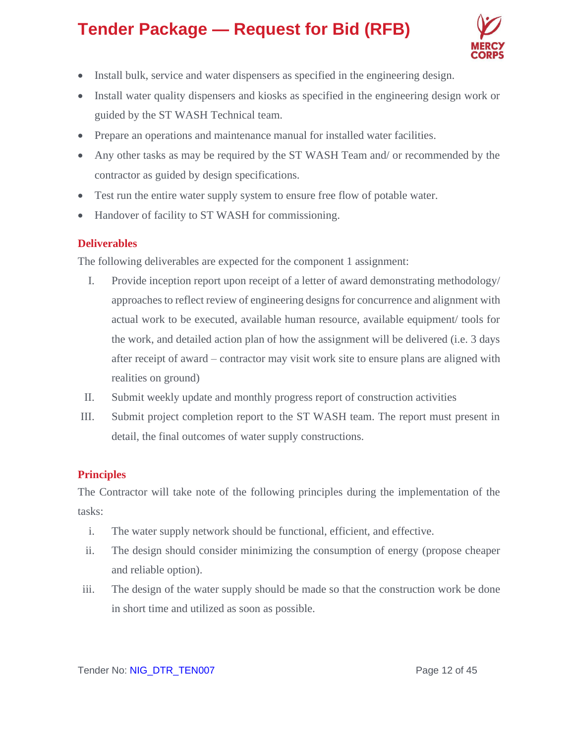

- Install bulk, service and water dispensers as specified in the engineering design.
- Install water quality dispensers and kiosks as specified in the engineering design work or guided by the ST WASH Technical team.
- Prepare an operations and maintenance manual for installed water facilities.
- Any other tasks as may be required by the ST WASH Team and/ or recommended by the contractor as guided by design specifications.
- Test run the entire water supply system to ensure free flow of potable water.
- Handover of facility to ST WASH for commissioning.

### **Deliverables**

The following deliverables are expected for the component 1 assignment:

- I. Provide inception report upon receipt of a letter of award demonstrating methodology/ approaches to reflect review of engineering designs for concurrence and alignment with actual work to be executed, available human resource, available equipment/ tools for the work, and detailed action plan of how the assignment will be delivered (i.e. 3 days after receipt of award – contractor may visit work site to ensure plans are aligned with realities on ground)
- II. Submit weekly update and monthly progress report of construction activities
- III. Submit project completion report to the ST WASH team. The report must present in detail, the final outcomes of water supply constructions.

### **Principles**

The Contractor will take note of the following principles during the implementation of the tasks:

- i. The water supply network should be functional, efficient, and effective.
- ii. The design should consider minimizing the consumption of energy (propose cheaper and reliable option).
- iii. The design of the water supply should be made so that the construction work be done in short time and utilized as soon as possible.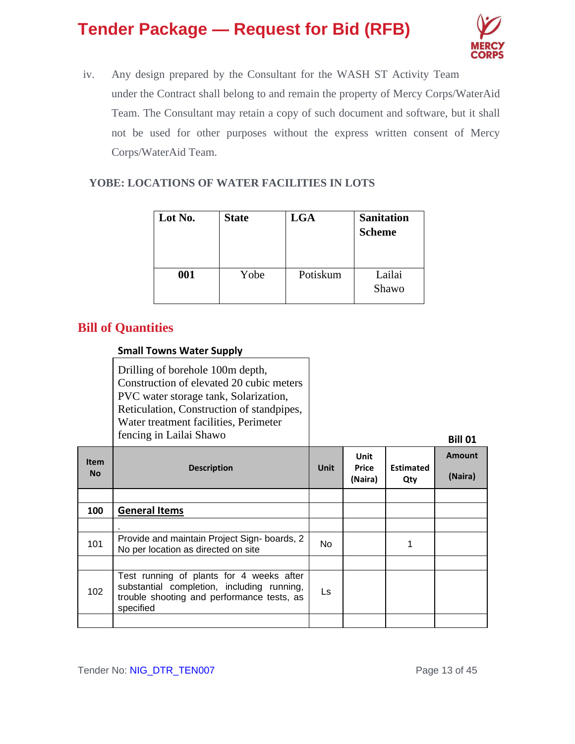

iv. Any design prepared by the Consultant for the WASH ST Activity Team under the Contract shall belong to and remain the property of Mercy Corps/WaterAid Team. The Consultant may retain a copy of such document and software, but it shall not be used for other purposes without the express written consent of Mercy Corps/WaterAid Team.

### **YOBE: LOCATIONS OF WATER FACILITIES IN LOTS**

| Lot No. | <b>State</b> | <b>LGA</b> | <b>Sanitation</b><br><b>Scheme</b> |
|---------|--------------|------------|------------------------------------|
| 001     | Yobe         | Potiskum   | Lailai<br>Shawo                    |

### **Bill of Quantities**

### **Small Towns Water Supply**

| Drilling of borehole 100m depth,          |                |
|-------------------------------------------|----------------|
| Construction of elevated 20 cubic meters  |                |
| PVC water storage tank, Solarization,     |                |
| Reticulation, Construction of standpipes, |                |
| Water treatment facilities, Perimeter     |                |
| fencing in Lailai Shawo                   | <b>Bill 01</b> |

| <b>Item</b><br><b>No</b> | <b>Description</b>                                                                                                                                | <b>Unit</b> | Unit<br><b>Price</b><br>(Naira) | <b>Estimated</b><br>Qty | <b>Amount</b><br>(Naira) |
|--------------------------|---------------------------------------------------------------------------------------------------------------------------------------------------|-------------|---------------------------------|-------------------------|--------------------------|
|                          |                                                                                                                                                   |             |                                 |                         |                          |
| 100                      | <b>General Items</b>                                                                                                                              |             |                                 |                         |                          |
|                          |                                                                                                                                                   |             |                                 |                         |                          |
| 101                      | Provide and maintain Project Sign-boards, 2<br>No per location as directed on site                                                                | No.         |                                 | 1                       |                          |
|                          |                                                                                                                                                   |             |                                 |                         |                          |
| 102                      | Test running of plants for 4 weeks after<br>substantial completion, including running,<br>trouble shooting and performance tests, as<br>specified | Ls          |                                 |                         |                          |
|                          |                                                                                                                                                   |             |                                 |                         |                          |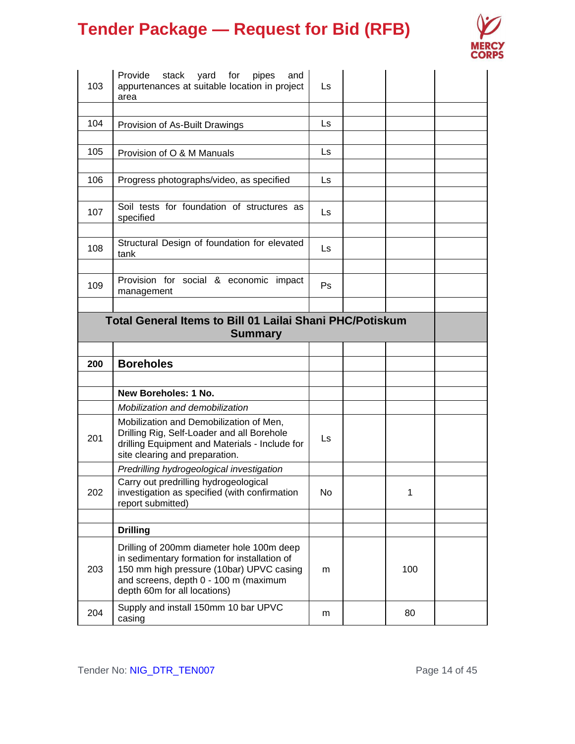

| 103 | Provide stack yard for<br>pipes<br>and<br>appurtenances at suitable location in project<br>area                                                                                                                | Ls  |     |  |
|-----|----------------------------------------------------------------------------------------------------------------------------------------------------------------------------------------------------------------|-----|-----|--|
| 104 | Provision of As-Built Drawings                                                                                                                                                                                 | Ls  |     |  |
| 105 | Provision of O & M Manuals                                                                                                                                                                                     | Ls  |     |  |
| 106 | Progress photographs/video, as specified                                                                                                                                                                       | Ls  |     |  |
| 107 | Soil tests for foundation of structures as<br>specified                                                                                                                                                        | Ls  |     |  |
| 108 | Structural Design of foundation for elevated<br>tank                                                                                                                                                           | Ls. |     |  |
| 109 | Provision for social & economic impact<br>management                                                                                                                                                           | Ps  |     |  |
|     | <b>Total General Items to Bill 01 Lailai Shani PHC/Potiskum</b><br><b>Summary</b>                                                                                                                              |     |     |  |
|     |                                                                                                                                                                                                                |     |     |  |
|     |                                                                                                                                                                                                                |     |     |  |
| 200 | <b>Boreholes</b>                                                                                                                                                                                               |     |     |  |
|     |                                                                                                                                                                                                                |     |     |  |
|     | New Boreholes: 1 No.                                                                                                                                                                                           |     |     |  |
| 201 | Mobilization and demobilization<br>Mobilization and Demobilization of Men,<br>Drilling Rig, Self-Loader and all Borehole<br>drilling Equipment and Materials - Include for<br>site clearing and preparation.   | Ls. |     |  |
|     | Predrilling hydrogeological investigation                                                                                                                                                                      |     |     |  |
| 202 | Carry out predrilling hydrogeological<br>investigation as specified (with confirmation<br>report submitted)                                                                                                    | No  | 1   |  |
|     |                                                                                                                                                                                                                |     |     |  |
|     | <b>Drilling</b>                                                                                                                                                                                                |     |     |  |
| 203 | Drilling of 200mm diameter hole 100m deep<br>in sedimentary formation for installation of<br>150 mm high pressure (10bar) UPVC casing<br>and screens, depth 0 - 100 m (maximum<br>depth 60m for all locations) | m   | 100 |  |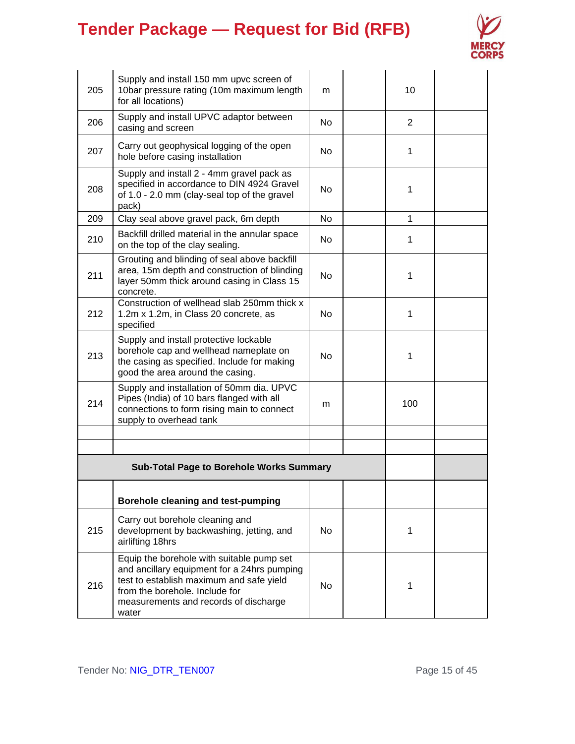

| 205 | Supply and install 150 mm upvc screen of<br>10bar pressure rating (10m maximum length<br>for all locations)                                                                                                              | m              | 10             |  |
|-----|--------------------------------------------------------------------------------------------------------------------------------------------------------------------------------------------------------------------------|----------------|----------------|--|
| 206 | Supply and install UPVC adaptor between<br>casing and screen                                                                                                                                                             | No.            | $\overline{2}$ |  |
| 207 | Carry out geophysical logging of the open<br>hole before casing installation                                                                                                                                             | N <sub>o</sub> | 1              |  |
| 208 | Supply and install 2 - 4mm gravel pack as<br>specified in accordance to DIN 4924 Gravel<br>of 1.0 - 2.0 mm (clay-seal top of the gravel<br>pack)                                                                         | No.            | 1              |  |
| 209 | Clay seal above gravel pack, 6m depth                                                                                                                                                                                    | No.            | $\mathbf{1}$   |  |
| 210 | Backfill drilled material in the annular space<br>on the top of the clay sealing.                                                                                                                                        | N <sub>o</sub> | 1              |  |
| 211 | Grouting and blinding of seal above backfill<br>area, 15m depth and construction of blinding<br>layer 50mm thick around casing in Class 15<br>concrete.                                                                  | No             | 1              |  |
| 212 | Construction of wellhead slab 250mm thick x<br>1.2m x 1.2m, in Class 20 concrete, as<br>specified                                                                                                                        | No             | 1              |  |
| 213 | Supply and install protective lockable<br>borehole cap and wellhead nameplate on<br>the casing as specified. Include for making<br>good the area around the casing.                                                      | No             | 1              |  |
| 214 | Supply and installation of 50mm dia. UPVC<br>Pipes (India) of 10 bars flanged with all<br>connections to form rising main to connect<br>supply to overhead tank                                                          | m              | 100            |  |
|     |                                                                                                                                                                                                                          |                |                |  |
|     |                                                                                                                                                                                                                          |                |                |  |
|     | <b>Sub-Total Page to Borehole Works Summary</b>                                                                                                                                                                          |                |                |  |
|     | Borehole cleaning and test-pumping                                                                                                                                                                                       |                |                |  |
| 215 | Carry out borehole cleaning and<br>development by backwashing, jetting, and<br>airlifting 18hrs                                                                                                                          | No.            | 1              |  |
| 216 | Equip the borehole with suitable pump set<br>and ancillary equipment for a 24hrs pumping<br>test to establish maximum and safe yield<br>from the borehole. Include for<br>measurements and records of discharge<br>water | No.            | 1              |  |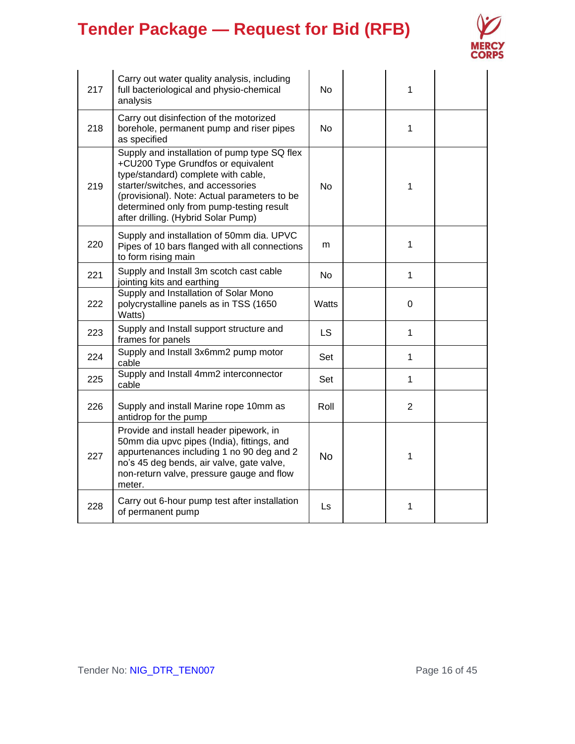

| 217 | Carry out water quality analysis, including<br>full bacteriological and physio-chemical<br>analysis                                                                                                                                                                                               | No           | 1              |  |
|-----|---------------------------------------------------------------------------------------------------------------------------------------------------------------------------------------------------------------------------------------------------------------------------------------------------|--------------|----------------|--|
| 218 | Carry out disinfection of the motorized<br>borehole, permanent pump and riser pipes<br>as specified                                                                                                                                                                                               | No.          | $\mathbf{1}$   |  |
| 219 | Supply and installation of pump type SQ flex<br>+CU200 Type Grundfos or equivalent<br>type/standard) complete with cable,<br>starter/switches, and accessories<br>(provisional). Note: Actual parameters to be<br>determined only from pump-testing result<br>after drilling. (Hybrid Solar Pump) | <b>No</b>    | 1              |  |
| 220 | Supply and installation of 50mm dia. UPVC<br>Pipes of 10 bars flanged with all connections<br>to form rising main                                                                                                                                                                                 | m            | $\mathbf{1}$   |  |
| 221 | Supply and Install 3m scotch cast cable<br>jointing kits and earthing                                                                                                                                                                                                                             | <b>No</b>    | $\mathbf{1}$   |  |
| 222 | Supply and Installation of Solar Mono<br>polycrystalline panels as in TSS (1650<br>Watts)                                                                                                                                                                                                         | <b>Watts</b> | 0              |  |
| 223 | Supply and Install support structure and<br>frames for panels                                                                                                                                                                                                                                     | <b>LS</b>    | $\mathbf{1}$   |  |
| 224 | Supply and Install 3x6mm2 pump motor<br>cable                                                                                                                                                                                                                                                     | Set          | $\mathbf{1}$   |  |
| 225 | Supply and Install 4mm2 interconnector<br>cable                                                                                                                                                                                                                                                   | Set          | $\mathbf{1}$   |  |
| 226 | Supply and install Marine rope 10mm as<br>antidrop for the pump                                                                                                                                                                                                                                   | Roll         | $\overline{2}$ |  |
| 227 | Provide and install header pipework, in<br>50mm dia upvc pipes (India), fittings, and<br>appurtenances including 1 no 90 deg and 2<br>no's 45 deg bends, air valve, gate valve,<br>non-return valve, pressure gauge and flow<br>meter.                                                            | <b>No</b>    | 1              |  |
| 228 | Carry out 6-hour pump test after installation<br>of permanent pump                                                                                                                                                                                                                                | Ls           | 1              |  |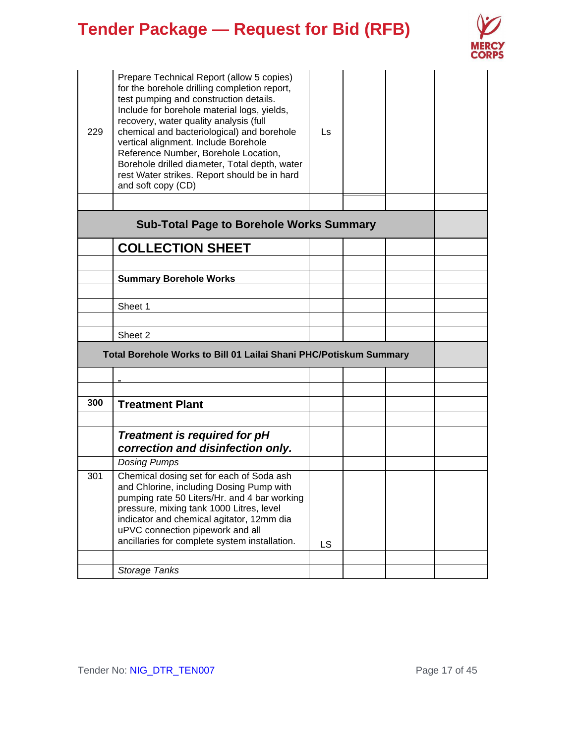

| 229 | Prepare Technical Report (allow 5 copies)<br>for the borehole drilling completion report,<br>test pumping and construction details.<br>Include for borehole material logs, yields,<br>recovery, water quality analysis (full<br>chemical and bacteriological) and borehole<br>vertical alignment. Include Borehole<br>Reference Number, Borehole Location,<br>Borehole drilled diameter, Total depth, water<br>rest Water strikes. Report should be in hard<br>and soft copy (CD) | Ls        |  |  |
|-----|-----------------------------------------------------------------------------------------------------------------------------------------------------------------------------------------------------------------------------------------------------------------------------------------------------------------------------------------------------------------------------------------------------------------------------------------------------------------------------------|-----------|--|--|
|     |                                                                                                                                                                                                                                                                                                                                                                                                                                                                                   |           |  |  |
|     | <b>Sub-Total Page to Borehole Works Summary</b>                                                                                                                                                                                                                                                                                                                                                                                                                                   |           |  |  |
|     | <b>COLLECTION SHEET</b>                                                                                                                                                                                                                                                                                                                                                                                                                                                           |           |  |  |
|     |                                                                                                                                                                                                                                                                                                                                                                                                                                                                                   |           |  |  |
|     | <b>Summary Borehole Works</b>                                                                                                                                                                                                                                                                                                                                                                                                                                                     |           |  |  |
|     | Sheet 1                                                                                                                                                                                                                                                                                                                                                                                                                                                                           |           |  |  |
|     |                                                                                                                                                                                                                                                                                                                                                                                                                                                                                   |           |  |  |
|     | Sheet 2                                                                                                                                                                                                                                                                                                                                                                                                                                                                           |           |  |  |
|     | Total Borehole Works to Bill 01 Lailai Shani PHC/Potiskum Summary                                                                                                                                                                                                                                                                                                                                                                                                                 |           |  |  |
|     |                                                                                                                                                                                                                                                                                                                                                                                                                                                                                   |           |  |  |
|     |                                                                                                                                                                                                                                                                                                                                                                                                                                                                                   |           |  |  |
| 300 | <b>Treatment Plant</b>                                                                                                                                                                                                                                                                                                                                                                                                                                                            |           |  |  |
|     |                                                                                                                                                                                                                                                                                                                                                                                                                                                                                   |           |  |  |
|     | <b>Treatment is required for pH</b><br>correction and disinfection only.                                                                                                                                                                                                                                                                                                                                                                                                          |           |  |  |
|     | <b>Dosing Pumps</b>                                                                                                                                                                                                                                                                                                                                                                                                                                                               |           |  |  |
| 301 | Chemical dosing set for each of Soda ash<br>and Chlorine, including Dosing Pump with<br>pumping rate 50 Liters/Hr. and 4 bar working<br>pressure, mixing tank 1000 Litres, level<br>indicator and chemical agitator, 12mm dia<br>uPVC connection pipework and all<br>ancillaries for complete system installation.                                                                                                                                                                | <b>LS</b> |  |  |
|     |                                                                                                                                                                                                                                                                                                                                                                                                                                                                                   |           |  |  |
|     | Storage Tanks                                                                                                                                                                                                                                                                                                                                                                                                                                                                     |           |  |  |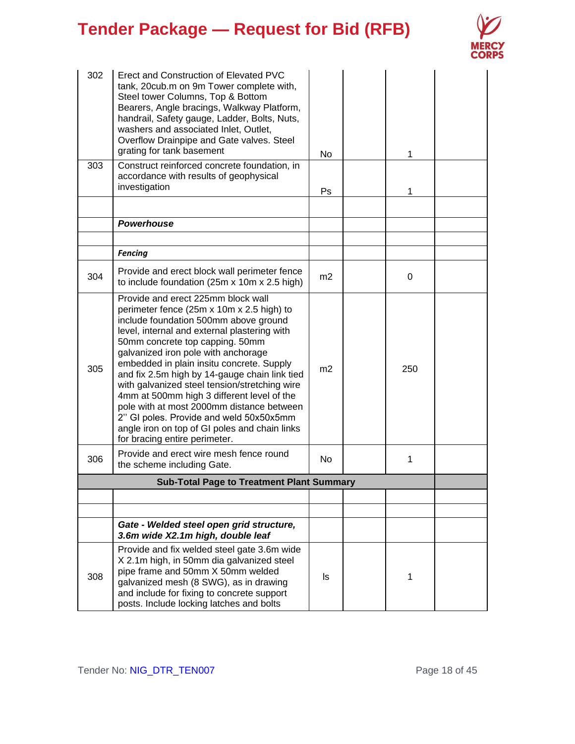

| 302 | Erect and Construction of Elevated PVC<br>tank, 20cub.m on 9m Tower complete with,<br>Steel tower Columns, Top & Bottom<br>Bearers, Angle bracings, Walkway Platform,<br>handrail, Safety gauge, Ladder, Bolts, Nuts,<br>washers and associated Inlet, Outlet,<br>Overflow Drainpipe and Gate valves. Steel<br>grating for tank basement                                                                                                                                                                                                                                                                                  | No             | 1   |  |
|-----|---------------------------------------------------------------------------------------------------------------------------------------------------------------------------------------------------------------------------------------------------------------------------------------------------------------------------------------------------------------------------------------------------------------------------------------------------------------------------------------------------------------------------------------------------------------------------------------------------------------------------|----------------|-----|--|
| 303 | Construct reinforced concrete foundation, in<br>accordance with results of geophysical<br>investigation                                                                                                                                                                                                                                                                                                                                                                                                                                                                                                                   | Ps.            | 1   |  |
|     |                                                                                                                                                                                                                                                                                                                                                                                                                                                                                                                                                                                                                           |                |     |  |
|     | Powerhouse                                                                                                                                                                                                                                                                                                                                                                                                                                                                                                                                                                                                                |                |     |  |
|     | <b>Fencing</b>                                                                                                                                                                                                                                                                                                                                                                                                                                                                                                                                                                                                            |                |     |  |
| 304 | Provide and erect block wall perimeter fence<br>to include foundation (25m x 10m x 2.5 high)                                                                                                                                                                                                                                                                                                                                                                                                                                                                                                                              | m2             | 0   |  |
| 305 | Provide and erect 225mm block wall<br>perimeter fence (25m x 10m x 2.5 high) to<br>include foundation 500mm above ground<br>level, internal and external plastering with<br>50mm concrete top capping. 50mm<br>galvanized iron pole with anchorage<br>embedded in plain insitu concrete. Supply<br>and fix 2.5m high by 14-gauge chain link tied<br>with galvanized steel tension/stretching wire<br>4mm at 500mm high 3 different level of the<br>pole with at most 2000mm distance between<br>2" GI poles. Provide and weld 50x50x5mm<br>angle iron on top of GI poles and chain links<br>for bracing entire perimeter. | m <sub>2</sub> | 250 |  |
| 306 | Provide and erect wire mesh fence round<br>the scheme including Gate.                                                                                                                                                                                                                                                                                                                                                                                                                                                                                                                                                     | N <sub>o</sub> | 1   |  |
|     | <b>Sub-Total Page to Treatment Plant Summary</b>                                                                                                                                                                                                                                                                                                                                                                                                                                                                                                                                                                          |                |     |  |
|     |                                                                                                                                                                                                                                                                                                                                                                                                                                                                                                                                                                                                                           |                |     |  |
|     |                                                                                                                                                                                                                                                                                                                                                                                                                                                                                                                                                                                                                           |                |     |  |
|     | Gate - Welded steel open grid structure,<br>3.6m wide X2.1m high, double leaf                                                                                                                                                                                                                                                                                                                                                                                                                                                                                                                                             |                |     |  |
| 308 | Provide and fix welded steel gate 3.6m wide<br>X 2.1m high, in 50mm dia galvanized steel<br>pipe frame and 50mm X 50mm welded<br>galvanized mesh (8 SWG), as in drawing<br>and include for fixing to concrete support<br>posts. Include locking latches and bolts                                                                                                                                                                                                                                                                                                                                                         | ls.            | 1   |  |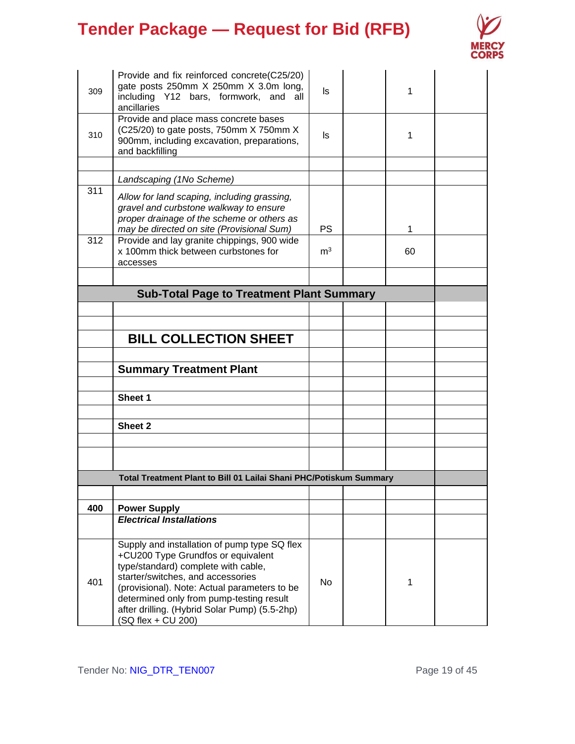

| 309 | Provide and fix reinforced concrete(C25/20)<br>gate posts 250mm X 250mm X 3.0m long,<br>including Y12 bars, formwork, and<br>all<br>ancillaries<br>Provide and place mass concrete bases                                                                                                                                          | ls             | 1  |  |
|-----|-----------------------------------------------------------------------------------------------------------------------------------------------------------------------------------------------------------------------------------------------------------------------------------------------------------------------------------|----------------|----|--|
| 310 | (C25/20) to gate posts, 750mm X 750mm X<br>900mm, including excavation, preparations,<br>and backfilling                                                                                                                                                                                                                          | ls             | 1  |  |
|     | Landscaping (1No Scheme)                                                                                                                                                                                                                                                                                                          |                |    |  |
| 311 | Allow for land scaping, including grassing,<br>gravel and curbstone walkway to ensure<br>proper drainage of the scheme or others as<br>may be directed on site (Provisional Sum)                                                                                                                                                  | PS             | 1  |  |
| 312 | Provide and lay granite chippings, 900 wide<br>x 100mm thick between curbstones for<br>accesses                                                                                                                                                                                                                                   | m <sup>3</sup> | 60 |  |
|     |                                                                                                                                                                                                                                                                                                                                   |                |    |  |
|     | <b>Sub-Total Page to Treatment Plant Summary</b>                                                                                                                                                                                                                                                                                  |                |    |  |
|     |                                                                                                                                                                                                                                                                                                                                   |                |    |  |
|     | <b>BILL COLLECTION SHEET</b>                                                                                                                                                                                                                                                                                                      |                |    |  |
|     |                                                                                                                                                                                                                                                                                                                                   |                |    |  |
|     | <b>Summary Treatment Plant</b>                                                                                                                                                                                                                                                                                                    |                |    |  |
|     | Sheet 1                                                                                                                                                                                                                                                                                                                           |                |    |  |
|     |                                                                                                                                                                                                                                                                                                                                   |                |    |  |
|     | Sheet 2                                                                                                                                                                                                                                                                                                                           |                |    |  |
|     |                                                                                                                                                                                                                                                                                                                                   |                |    |  |
|     |                                                                                                                                                                                                                                                                                                                                   |                |    |  |
|     | Total Treatment Plant to Bill 01 Lailai Shani PHC/Potiskum Summary                                                                                                                                                                                                                                                                |                |    |  |
|     |                                                                                                                                                                                                                                                                                                                                   |                |    |  |
| 400 | <b>Power Supply</b>                                                                                                                                                                                                                                                                                                               |                |    |  |
|     | <b>Electrical Installations</b>                                                                                                                                                                                                                                                                                                   |                |    |  |
| 401 | Supply and installation of pump type SQ flex<br>+CU200 Type Grundfos or equivalent<br>type/standard) complete with cable,<br>starter/switches, and accessories<br>(provisional). Note: Actual parameters to be<br>determined only from pump-testing result<br>after drilling. (Hybrid Solar Pump) (5.5-2hp)<br>(SQ flex + CU 200) | No             | 1  |  |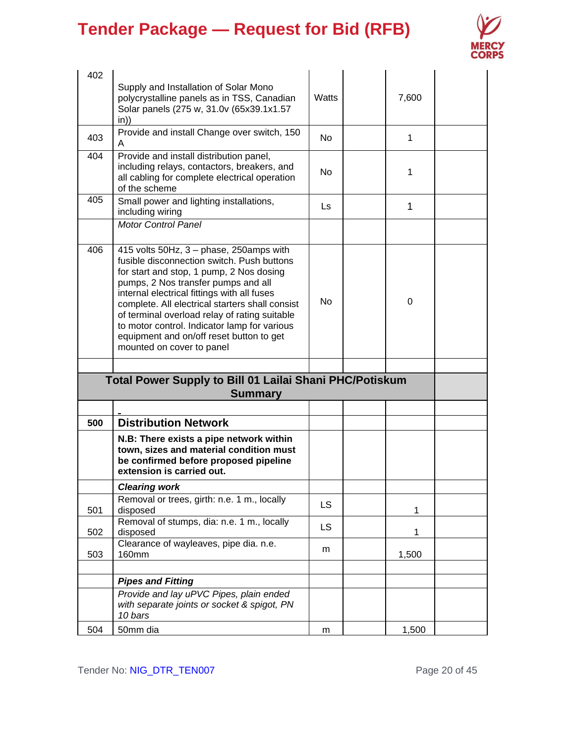

| 402 |                                                                                                                                                                                                                                                                                                                                                                                                                                                      |                |              |  |
|-----|------------------------------------------------------------------------------------------------------------------------------------------------------------------------------------------------------------------------------------------------------------------------------------------------------------------------------------------------------------------------------------------------------------------------------------------------------|----------------|--------------|--|
|     | Supply and Installation of Solar Mono<br>polycrystalline panels as in TSS, Canadian<br>Solar panels (275 w, 31.0v (65x39.1x1.57<br>in)                                                                                                                                                                                                                                                                                                               | Watts          | 7,600        |  |
| 403 | Provide and install Change over switch, 150<br>A                                                                                                                                                                                                                                                                                                                                                                                                     | N <sub>o</sub> | 1            |  |
| 404 | Provide and install distribution panel,<br>including relays, contactors, breakers, and<br>all cabling for complete electrical operation<br>of the scheme                                                                                                                                                                                                                                                                                             | N <sub>o</sub> | 1            |  |
| 405 | Small power and lighting installations,<br>including wiring                                                                                                                                                                                                                                                                                                                                                                                          | Ls             | $\mathbf{1}$ |  |
|     | <b>Motor Control Panel</b>                                                                                                                                                                                                                                                                                                                                                                                                                           |                |              |  |
| 406 | 415 volts 50Hz, 3 - phase, 250amps with<br>fusible disconnection switch. Push buttons<br>for start and stop, 1 pump, 2 Nos dosing<br>pumps, 2 Nos transfer pumps and all<br>internal electrical fittings with all fuses<br>complete. All electrical starters shall consist<br>of terminal overload relay of rating suitable<br>to motor control. Indicator lamp for various<br>equipment and on/off reset button to get<br>mounted on cover to panel | No             | $\Omega$     |  |
|     |                                                                                                                                                                                                                                                                                                                                                                                                                                                      |                |              |  |
|     | Total Power Supply to Bill 01 Lailai Shani PHC/Potiskum<br><b>Summary</b>                                                                                                                                                                                                                                                                                                                                                                            |                |              |  |
|     |                                                                                                                                                                                                                                                                                                                                                                                                                                                      |                |              |  |
| 500 | <b>Distribution Network</b>                                                                                                                                                                                                                                                                                                                                                                                                                          |                |              |  |
|     |                                                                                                                                                                                                                                                                                                                                                                                                                                                      |                |              |  |
|     | N.B: There exists a pipe network within<br>town, sizes and material condition must<br>be confirmed before proposed pipeline<br>extension is carried out.                                                                                                                                                                                                                                                                                             |                |              |  |
|     | <b>Clearing work</b>                                                                                                                                                                                                                                                                                                                                                                                                                                 |                |              |  |
| 501 | Removal or trees, girth: n.e. 1 m., locally<br>disposed                                                                                                                                                                                                                                                                                                                                                                                              | <b>LS</b>      | 1            |  |
| 502 | Removal of stumps, dia: n.e. 1 m., locally<br>disposed                                                                                                                                                                                                                                                                                                                                                                                               | <b>LS</b>      | 1            |  |
| 503 | Clearance of wayleaves, pipe dia. n.e.<br><b>160mm</b>                                                                                                                                                                                                                                                                                                                                                                                               | m              | 1,500        |  |
|     |                                                                                                                                                                                                                                                                                                                                                                                                                                                      |                |              |  |
|     | <b>Pipes and Fitting</b><br>Provide and lay uPVC Pipes, plain ended<br>with separate joints or socket & spigot, PN<br>10 bars                                                                                                                                                                                                                                                                                                                        |                |              |  |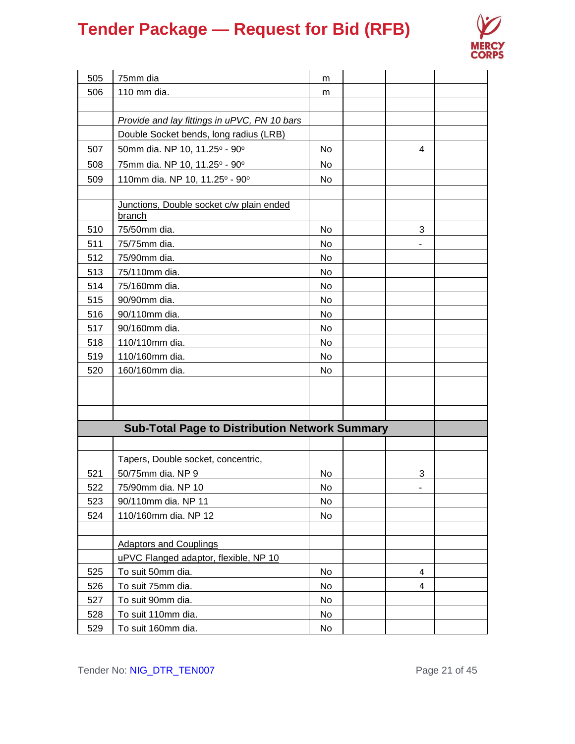

| 505 | 75mm dia                                              | m         |   |  |
|-----|-------------------------------------------------------|-----------|---|--|
| 506 | 110 mm dia.                                           | m         |   |  |
|     |                                                       |           |   |  |
|     | Provide and lay fittings in uPVC, PN 10 bars          |           |   |  |
|     | Double Socket bends, long radius (LRB)                |           |   |  |
| 507 | 50mm dia. NP 10, 11.25° - 90°                         | No.       | 4 |  |
| 508 | 75mm dia. NP 10, 11.25° - 90°                         | No        |   |  |
| 509 | 110mm dia. NP 10, 11.25° - 90°                        | No.       |   |  |
|     |                                                       |           |   |  |
|     | Junctions, Double socket c/w plain ended<br>branch    |           |   |  |
| 510 | 75/50mm dia.                                          | <b>No</b> | 3 |  |
| 511 | 75/75mm dia.                                          | No.       |   |  |
| 512 | 75/90mm dia.                                          | <b>No</b> |   |  |
| 513 | 75/110mm dia.                                         | <b>No</b> |   |  |
| 514 | 75/160mm dia.                                         | <b>No</b> |   |  |
| 515 | 90/90mm dia.                                          | <b>No</b> |   |  |
| 516 | 90/110mm dia.                                         | <b>No</b> |   |  |
| 517 | 90/160mm dia.                                         | <b>No</b> |   |  |
| 518 | 110/110mm dia.                                        | <b>No</b> |   |  |
| 519 | 110/160mm dia.                                        | <b>No</b> |   |  |
| 520 | 160/160mm dia.                                        | No        |   |  |
|     |                                                       |           |   |  |
|     |                                                       |           |   |  |
|     |                                                       |           |   |  |
|     | <b>Sub-Total Page to Distribution Network Summary</b> |           |   |  |
|     |                                                       |           |   |  |
|     | Tapers, Double socket, concentric,                    |           |   |  |
| 521 | 50/75mm dia. NP 9                                     | No        | 3 |  |
| 522 | 75/90mm dia. NP 10                                    | No.       |   |  |
| 523 | 90/110mm dia. NP 11                                   | No        |   |  |
| 524 | 110/160mm dia. NP 12                                  | No        |   |  |
|     |                                                       |           |   |  |
|     | <b>Adaptors and Couplings</b>                         |           |   |  |
|     | uPVC Flanged adaptor, flexible, NP 10                 |           |   |  |
| 525 | To suit 50mm dia.                                     | No        | 4 |  |
| 526 | To suit 75mm dia.                                     | No        | 4 |  |
| 527 | To suit 90mm dia.                                     | No        |   |  |
| 528 | To suit 110mm dia.                                    | No        |   |  |
| 529 | To suit 160mm dia.                                    | No        |   |  |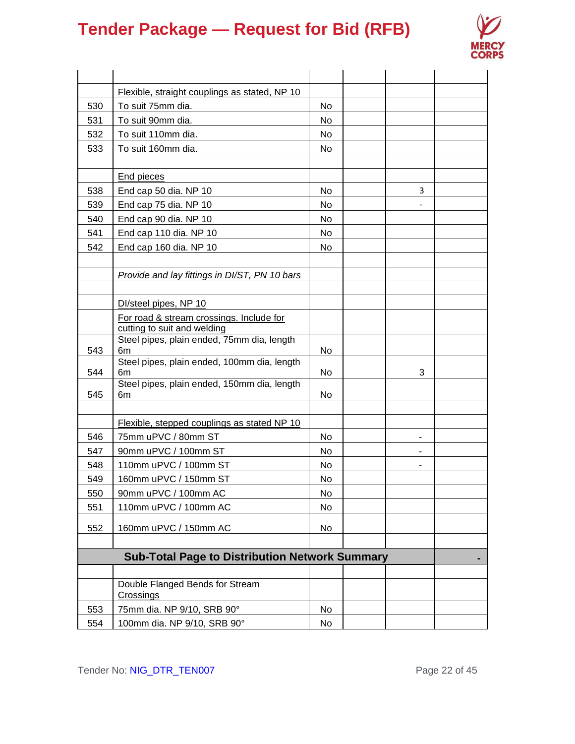

|     | Flexible, straight couplings as stated, NP 10         |           |   |  |
|-----|-------------------------------------------------------|-----------|---|--|
| 530 | To suit 75mm dia.                                     | No        |   |  |
| 531 | To suit 90mm dia.                                     | No        |   |  |
| 532 | To suit 110mm dia.                                    | No        |   |  |
| 533 | To suit 160mm dia.                                    | No        |   |  |
|     |                                                       |           |   |  |
|     | <b>End pieces</b>                                     |           |   |  |
| 538 | End cap 50 dia. NP 10                                 | No        | 3 |  |
| 539 | End cap 75 dia. NP 10                                 | No        |   |  |
| 540 | End cap 90 dia. NP 10                                 | No        |   |  |
| 541 | End cap 110 dia. NP 10                                | No        |   |  |
| 542 | End cap 160 dia. NP 10                                | No.       |   |  |
|     |                                                       |           |   |  |
|     | Provide and lay fittings in DI/ST, PN 10 bars         |           |   |  |
|     |                                                       |           |   |  |
|     | DI/steel pipes, NP 10                                 |           |   |  |
|     | For road & stream crossings. Include for              |           |   |  |
|     | cutting to suit and welding                           |           |   |  |
| 543 | Steel pipes, plain ended, 75mm dia, length<br>6m      | No        |   |  |
|     | Steel pipes, plain ended, 100mm dia, length           |           |   |  |
| 544 | 6m                                                    | No        | 3 |  |
|     | Steel pipes, plain ended, 150mm dia, length           |           |   |  |
| 545 | 6m                                                    | No        |   |  |
|     |                                                       |           |   |  |
|     | Flexible, stepped couplings as stated NP 10           |           |   |  |
| 546 | 75mm uPVC / 80mm ST                                   | No.       |   |  |
| 547 | 90mm uPVC / 100mm ST                                  | No.       |   |  |
| 548 | 110mm uPVC / 100mm ST                                 | <b>No</b> |   |  |
| 549 | 160mm uPVC / 150mm ST                                 | No.       |   |  |
| 550 | 90mm uPVC / 100mm AC                                  | No        |   |  |
| 551 | 110mm uPVC / 100mm AC                                 | No        |   |  |
| 552 | 160mm uPVC / 150mm AC                                 | No        |   |  |
|     |                                                       |           |   |  |
|     | <b>Sub-Total Page to Distribution Network Summary</b> |           |   |  |
|     |                                                       |           |   |  |
|     | Double Flanged Bends for Stream                       |           |   |  |
|     | <b>Crossings</b>                                      |           |   |  |
| 553 | 75mm dia. NP 9/10, SRB 90°                            | No        |   |  |
| 554 | 100mm dia. NP 9/10, SRB 90°                           | No        |   |  |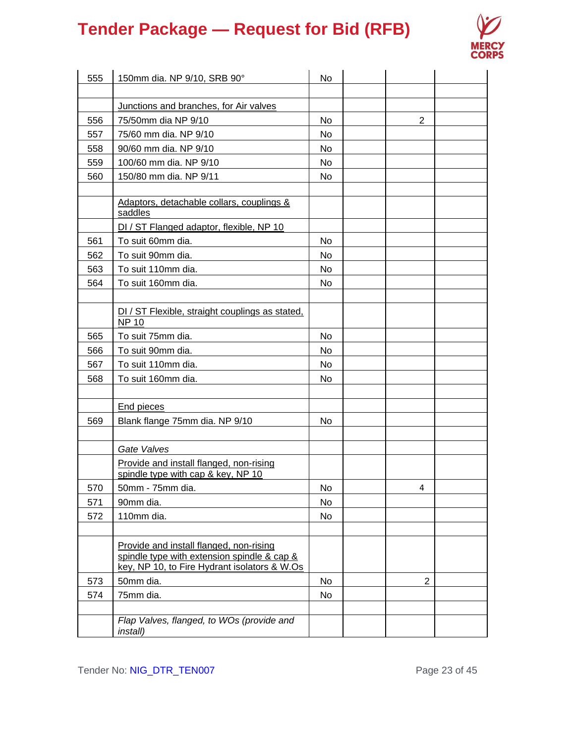

| 555        | 150mm dia. NP 9/10, SRB 90°                                                                                                            | No       |                |  |
|------------|----------------------------------------------------------------------------------------------------------------------------------------|----------|----------------|--|
|            |                                                                                                                                        |          |                |  |
|            | Junctions and branches, for Air valves                                                                                                 |          |                |  |
| 556        | 75/50mm dia NP 9/10                                                                                                                    | No       | $\overline{2}$ |  |
| 557<br>558 | 75/60 mm dia. NP 9/10<br>90/60 mm dia. NP 9/10                                                                                         | No<br>No |                |  |
| 559        | 100/60 mm dia. NP 9/10                                                                                                                 | No       |                |  |
|            | 150/80 mm dia. NP 9/11                                                                                                                 |          |                |  |
| 560        |                                                                                                                                        | No       |                |  |
|            | Adaptors, detachable collars, couplings &<br>saddles                                                                                   |          |                |  |
|            | DI / ST Flanged adaptor, flexible, NP 10                                                                                               |          |                |  |
| 561        | To suit 60mm dia.                                                                                                                      | No       |                |  |
| 562        | To suit 90mm dia.                                                                                                                      | No       |                |  |
| 563        | To suit 110mm dia.                                                                                                                     | No       |                |  |
| 564        | To suit 160mm dia.                                                                                                                     | No       |                |  |
|            |                                                                                                                                        |          |                |  |
|            | DI / ST Flexible, straight couplings as stated,<br><b>NP 10</b>                                                                        |          |                |  |
| 565        | To suit 75mm dia.                                                                                                                      | No       |                |  |
| 566        | To suit 90mm dia.                                                                                                                      | No       |                |  |
| 567        | To suit 110mm dia.                                                                                                                     | No       |                |  |
| 568        | To suit 160mm dia.                                                                                                                     | No       |                |  |
|            |                                                                                                                                        |          |                |  |
|            | End pieces                                                                                                                             |          |                |  |
| 569        | Blank flange 75mm dia. NP 9/10                                                                                                         | No       |                |  |
|            |                                                                                                                                        |          |                |  |
|            | Gate Valves                                                                                                                            |          |                |  |
|            | Provide and install flanged, non-rising<br>spindle type with cap & key, NP 10                                                          |          |                |  |
| 570        | 50mm - 75mm dia.                                                                                                                       | No       | 4              |  |
| 571        | 90mm dia.                                                                                                                              | No       |                |  |
| 572        | 110mm dia.                                                                                                                             | No       |                |  |
|            |                                                                                                                                        |          |                |  |
|            | Provide and install flanged, non-rising<br>spindle type with extension spindle & cap &<br>key, NP 10, to Fire Hydrant isolators & W.Os |          |                |  |
| 573        | 50mm dia.                                                                                                                              | No       | $\overline{2}$ |  |
| 574        | 75mm dia.                                                                                                                              | No       |                |  |
|            |                                                                                                                                        |          |                |  |
|            | Flap Valves, flanged, to WOs (provide and<br><i>install</i> )                                                                          |          |                |  |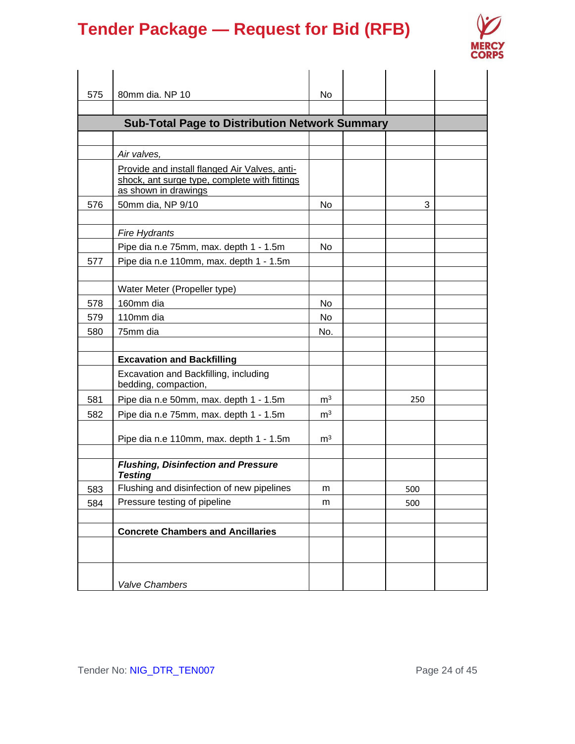

| 575 | 80mm dia. NP 10                                                                                                        | No             |     |  |
|-----|------------------------------------------------------------------------------------------------------------------------|----------------|-----|--|
|     |                                                                                                                        |                |     |  |
|     | <b>Sub-Total Page to Distribution Network Summary</b>                                                                  |                |     |  |
|     |                                                                                                                        |                |     |  |
|     | Air valves,                                                                                                            |                |     |  |
|     | Provide and install flanged Air Valves, anti-<br>shock, ant surge type, complete with fittings<br>as shown in drawings |                |     |  |
| 576 | 50mm dia, NP 9/10                                                                                                      | <b>No</b>      | 3   |  |
|     | <b>Fire Hydrants</b>                                                                                                   |                |     |  |
|     | Pipe dia n.e 75mm, max. depth 1 - 1.5m                                                                                 | No             |     |  |
| 577 | Pipe dia n.e 110mm, max. depth 1 - 1.5m                                                                                |                |     |  |
|     |                                                                                                                        |                |     |  |
|     | Water Meter (Propeller type)                                                                                           |                |     |  |
| 578 | 160mm dia                                                                                                              | No             |     |  |
| 579 | 110mm dia                                                                                                              | No.            |     |  |
| 580 | 75mm dia                                                                                                               | No.            |     |  |
|     |                                                                                                                        |                |     |  |
|     | <b>Excavation and Backfilling</b>                                                                                      |                |     |  |
|     | Excavation and Backfilling, including<br>bedding, compaction,                                                          |                |     |  |
| 581 | Pipe dia n.e 50mm, max. depth 1 - 1.5m                                                                                 | m <sup>3</sup> | 250 |  |
| 582 | Pipe dia n.e 75mm, max. depth 1 - 1.5m                                                                                 | m <sup>3</sup> |     |  |
|     | Pipe dia n.e 110mm, max. depth 1 - 1.5m                                                                                | m <sup>3</sup> |     |  |
|     | <b>Flushing, Disinfection and Pressure</b><br><b>Testing</b>                                                           |                |     |  |
| 583 | Flushing and disinfection of new pipelines                                                                             | m              | 500 |  |
| 584 | Pressure testing of pipeline                                                                                           | m              | 500 |  |
|     |                                                                                                                        |                |     |  |
|     | <b>Concrete Chambers and Ancillaries</b>                                                                               |                |     |  |
|     |                                                                                                                        |                |     |  |
|     |                                                                                                                        |                |     |  |
|     | Valve Chambers                                                                                                         |                |     |  |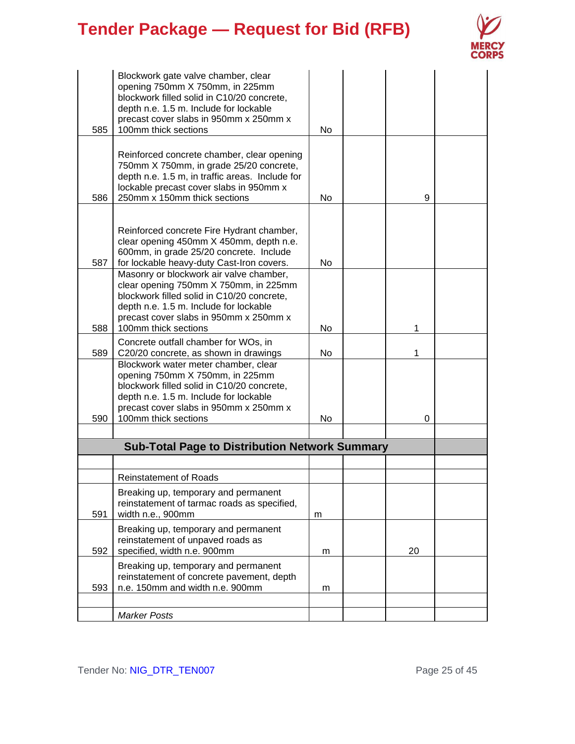

| 585 | Blockwork gate valve chamber, clear<br>opening 750mm X 750mm, in 225mm<br>blockwork filled solid in C10/20 concrete,<br>depth n.e. 1.5 m. Include for lockable<br>precast cover slabs in 950mm x 250mm x<br>100mm thick sections           | N <sub>o</sub> |    |  |
|-----|--------------------------------------------------------------------------------------------------------------------------------------------------------------------------------------------------------------------------------------------|----------------|----|--|
| 586 | Reinforced concrete chamber, clear opening<br>750mm X 750mm, in grade 25/20 concrete,<br>depth n.e. 1.5 m, in traffic areas. Include for<br>lockable precast cover slabs in 950mm x<br>250mm x 150mm thick sections                        | No             | 9  |  |
| 587 | Reinforced concrete Fire Hydrant chamber,<br>clear opening 450mm X 450mm, depth n.e.<br>600mm, in grade 25/20 concrete. Include<br>for lockable heavy-duty Cast-Iron covers.                                                               | No             |    |  |
| 588 | Masonry or blockwork air valve chamber,<br>clear opening 750mm X 750mm, in 225mm<br>blockwork filled solid in C10/20 concrete,<br>depth n.e. 1.5 m. Include for lockable<br>precast cover slabs in 950mm x 250mm x<br>100mm thick sections | No             | 1  |  |
| 589 | Concrete outfall chamber for WOs, in<br>C20/20 concrete, as shown in drawings                                                                                                                                                              | No             | 1  |  |
| 590 | Blockwork water meter chamber, clear<br>opening 750mm X 750mm, in 225mm<br>blockwork filled solid in C10/20 concrete,<br>depth n.e. 1.5 m. Include for lockable<br>precast cover slabs in 950mm x 250mm x<br>100mm thick sections          | No             | 0  |  |
|     |                                                                                                                                                                                                                                            |                |    |  |
|     | <b>Sub-Total Page to Distribution Network Summary</b>                                                                                                                                                                                      |                |    |  |
|     | <b>Reinstatement of Roads</b>                                                                                                                                                                                                              |                |    |  |
| 591 | Breaking up, temporary and permanent<br>reinstatement of tarmac roads as specified,<br>width n.e., 900mm                                                                                                                                   | m              |    |  |
| 592 | Breaking up, temporary and permanent<br>reinstatement of unpaved roads as<br>specified, width n.e. 900mm                                                                                                                                   | m              | 20 |  |
| 593 | Breaking up, temporary and permanent<br>reinstatement of concrete pavement, depth<br>n.e. 150mm and width n.e. 900mm                                                                                                                       | m              |    |  |
|     | <b>Marker Posts</b>                                                                                                                                                                                                                        |                |    |  |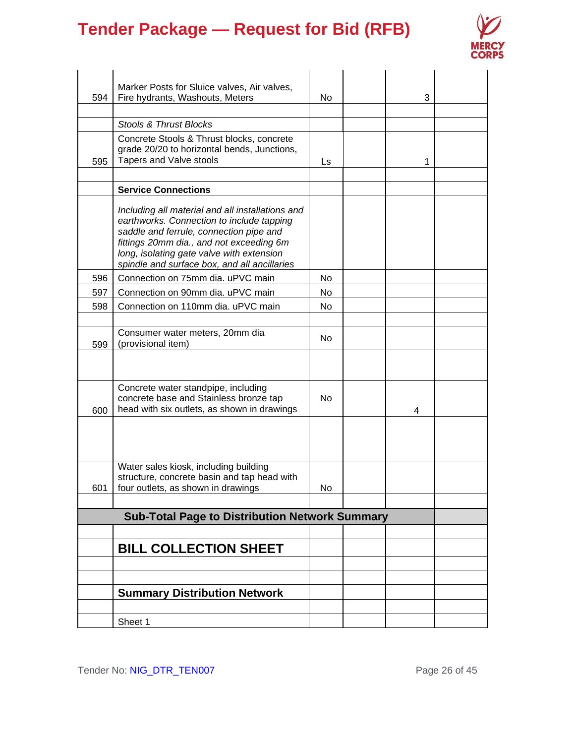

|     | Marker Posts for Sluice valves, Air valves,           |           |   |  |
|-----|-------------------------------------------------------|-----------|---|--|
| 594 | Fire hydrants, Washouts, Meters                       | No        | 3 |  |
|     |                                                       |           |   |  |
|     | Stools & Thrust Blocks                                |           |   |  |
|     | Concrete Stools & Thrust blocks, concrete             |           |   |  |
|     | grade 20/20 to horizontal bends, Junctions,           |           |   |  |
| 595 | Tapers and Valve stools                               | Ls.       | 1 |  |
|     |                                                       |           |   |  |
|     | <b>Service Connections</b>                            |           |   |  |
|     | Including all material and all installations and      |           |   |  |
|     | earthworks. Connection to include tapping             |           |   |  |
|     | saddle and ferrule, connection pipe and               |           |   |  |
|     | fittings 20mm dia., and not exceeding 6m              |           |   |  |
|     | long, isolating gate valve with extension             |           |   |  |
|     | spindle and surface box, and all ancillaries          |           |   |  |
| 596 | Connection on 75mm dia. uPVC main                     | No.       |   |  |
| 597 | Connection on 90mm dia. uPVC main                     | No.       |   |  |
| 598 | Connection on 110mm dia. uPVC main                    | No        |   |  |
|     |                                                       |           |   |  |
|     | Consumer water meters, 20mm dia                       | <b>No</b> |   |  |
| 599 | (provisional item)                                    |           |   |  |
|     |                                                       |           |   |  |
|     |                                                       |           |   |  |
|     | Concrete water standpipe, including                   |           |   |  |
|     | concrete base and Stainless bronze tap                | No.       |   |  |
| 600 | head with six outlets, as shown in drawings           |           | 4 |  |
|     |                                                       |           |   |  |
|     |                                                       |           |   |  |
|     |                                                       |           |   |  |
|     | Water sales kiosk, including building                 |           |   |  |
|     | structure, concrete basin and tap head with           |           |   |  |
| 601 | four outlets, as shown in drawings                    | No        |   |  |
|     |                                                       |           |   |  |
|     | <b>Sub-Total Page to Distribution Network Summary</b> |           |   |  |
|     |                                                       |           |   |  |
|     | <b>BILL COLLECTION SHEET</b>                          |           |   |  |
|     |                                                       |           |   |  |
|     |                                                       |           |   |  |
|     | <b>Summary Distribution Network</b>                   |           |   |  |
|     |                                                       |           |   |  |
|     |                                                       |           |   |  |
|     | Sheet 1                                               |           |   |  |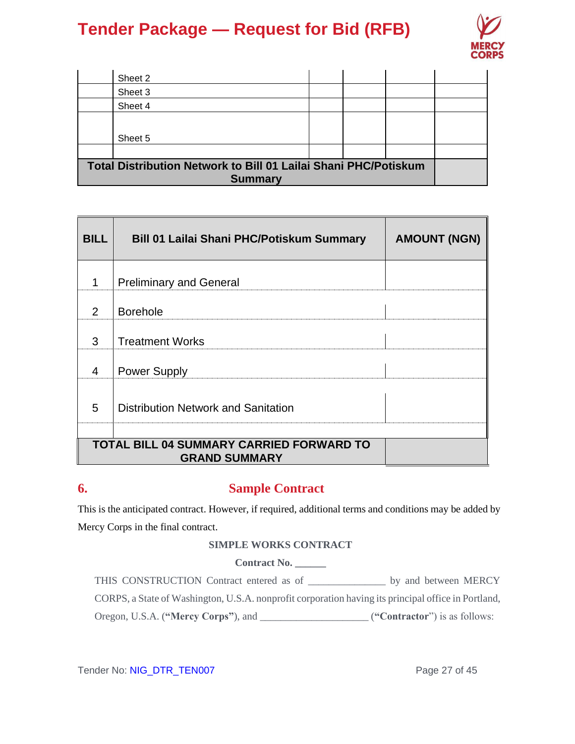

|                                                                 | Sheet 2        |  |  |  |  |
|-----------------------------------------------------------------|----------------|--|--|--|--|
|                                                                 | Sheet 3        |  |  |  |  |
|                                                                 | Sheet 4        |  |  |  |  |
|                                                                 |                |  |  |  |  |
|                                                                 | Sheet 5        |  |  |  |  |
|                                                                 |                |  |  |  |  |
| Total Distribution Network to Bill 01 Lailai Shani PHC/Potiskum |                |  |  |  |  |
|                                                                 | <b>Summary</b> |  |  |  |  |

| <b>BILL</b>   | <b>Bill 01 Lailai Shani PHC/Potiskum Summary</b>                        | <b>AMOUNT (NGN)</b> |
|---------------|-------------------------------------------------------------------------|---------------------|
| 1             | <b>Preliminary and General</b>                                          |                     |
| $\mathcal{P}$ | <b>Borehole</b>                                                         |                     |
| 3             | <b>Treatment Works</b>                                                  |                     |
| 4             | <b>Power Supply</b>                                                     |                     |
| 5             | Distribution Network and Sanitation                                     |                     |
|               |                                                                         |                     |
|               | <b>TOTAL BILL 04 SUMMARY CARRIED FORWARD TO</b><br><b>GRAND SUMMARY</b> |                     |

### **6. Sample Contract**

This is the anticipated contract. However, if required, additional terms and conditions may be added by Mercy Corps in the final contract.

### **SIMPLE WORKS CONTRACT**

**Contract No. \_\_\_\_\_\_**

THIS CONSTRUCTION Contract entered as of \_\_\_\_\_\_\_\_\_\_\_\_\_\_\_ by and between MERCY CORPS, a State of Washington, U.S.A. nonprofit corporation having its principal office in Portland, Oregon, U.S.A. (**"Mercy Corps"**), and \_\_\_\_\_\_\_\_\_\_\_\_\_\_\_\_\_\_\_\_\_ (**"Contractor**") is as follows:

Tender No: NIG\_DTR\_TEN007 ender No: NIG\_DTR\_TEN007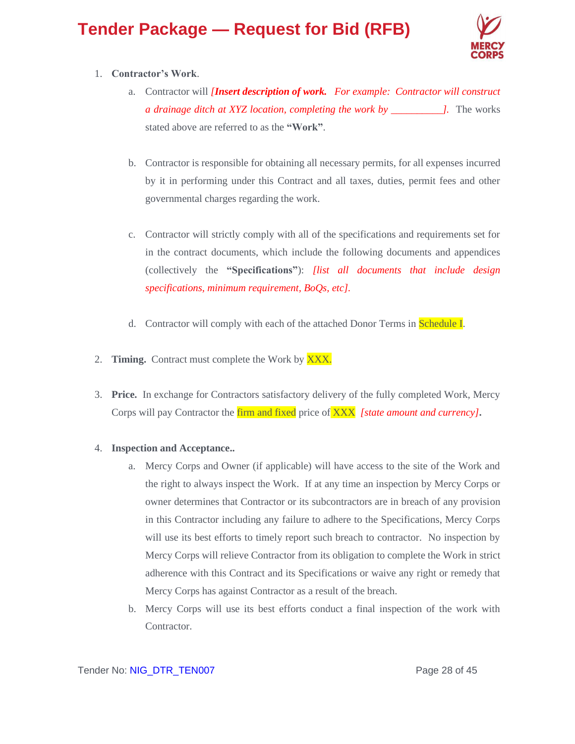

### 1. **Contractor's Work**.

- a. Contractor will *[Insert description of work. For example: Contractor will construct a drainage ditch at XYZ location, completing the work by \_\_\_\_\_\_\_\_\_\_].* The works stated above are referred to as the **"Work"**.
- b. Contractor is responsible for obtaining all necessary permits, for all expenses incurred by it in performing under this Contract and all taxes, duties, permit fees and other governmental charges regarding the work.
- c. Contractor will strictly comply with all of the specifications and requirements set for in the contract documents, which include the following documents and appendices (collectively the **"Specifications"**): *[list all documents that include design specifications, minimum requirement, BoQs, etc].*
- d. Contractor will comply with each of the attached Donor Terms in Schedule I.
- 2. **Timing.** Contract must complete the Work by XXX.
- 3. **Price.** In exchange for Contractors satisfactory delivery of the fully completed Work, Mercy Corps will pay Contractor the firm and fixed price of XXX *[state amount and currency]***.**

### 4. **Inspection and Acceptance..**

- a. Mercy Corps and Owner (if applicable) will have access to the site of the Work and the right to always inspect the Work. If at any time an inspection by Mercy Corps or owner determines that Contractor or its subcontractors are in breach of any provision in this Contractor including any failure to adhere to the Specifications, Mercy Corps will use its best efforts to timely report such breach to contractor. No inspection by Mercy Corps will relieve Contractor from its obligation to complete the Work in strict adherence with this Contract and its Specifications or waive any right or remedy that Mercy Corps has against Contractor as a result of the breach.
- b. Mercy Corps will use its best efforts conduct a final inspection of the work with Contractor.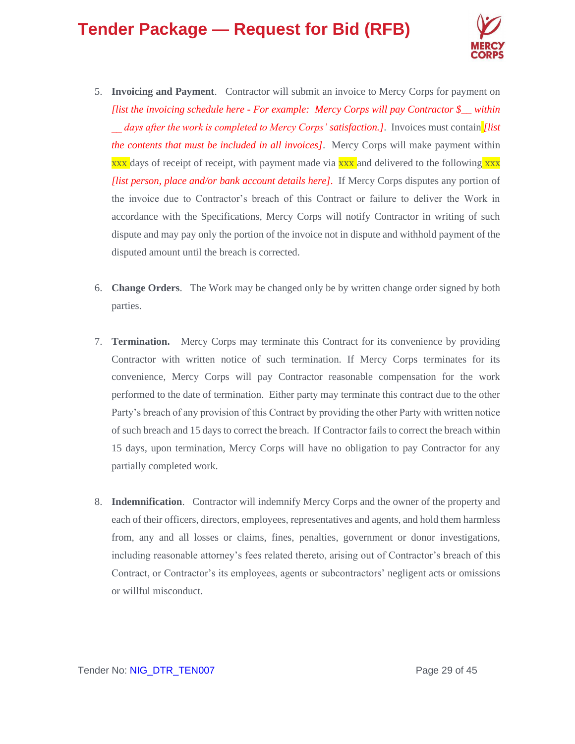

- 5. **Invoicing and Payment**. Contractor will submit an invoice to Mercy Corps for payment on *[list the invoicing schedule here - For example: Mercy Corps will pay Contractor \$\_\_ within \_\_ days after the work is completed to Mercy Corps' satisfaction.]*. Invoices must contain *[list the contents that must be included in all invoices]*. Mercy Corps will make payment within  $xxx$  days of receipt of receipt, with payment made via  $xxx$  and delivered to the following  $xxx$ *[list person, place and/or bank account details here]*.If Mercy Corps disputes any portion of the invoice due to Contractor's breach of this Contract or failure to deliver the Work in accordance with the Specifications, Mercy Corps will notify Contractor in writing of such dispute and may pay only the portion of the invoice not in dispute and withhold payment of the disputed amount until the breach is corrected.
- 6. **Change Orders**. The Work may be changed only be by written change order signed by both parties.
- 7. **Termination.** Mercy Corps may terminate this Contract for its convenience by providing Contractor with written notice of such termination. If Mercy Corps terminates for its convenience, Mercy Corps will pay Contractor reasonable compensation for the work performed to the date of termination. Either party may terminate this contract due to the other Party's breach of any provision of this Contract by providing the other Party with written notice of such breach and 15 days to correct the breach. If Contractor fails to correct the breach within 15 days, upon termination, Mercy Corps will have no obligation to pay Contractor for any partially completed work.
- 8. **Indemnification**. Contractor will indemnify Mercy Corps and the owner of the property and each of their officers, directors, employees, representatives and agents, and hold them harmless from, any and all losses or claims, fines, penalties, government or donor investigations, including reasonable attorney's fees related thereto, arising out of Contractor's breach of this Contract, or Contractor's its employees, agents or subcontractors' negligent acts or omissions or willful misconduct.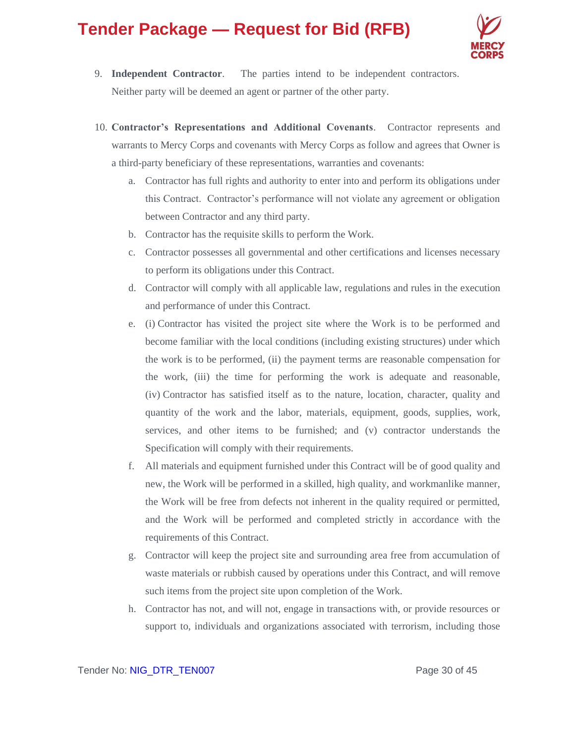

- 9. **Independent Contractor**. The parties intend to be independent contractors. Neither party will be deemed an agent or partner of the other party.
- 10. **Contractor's Representations and Additional Covenants**. Contractor represents and warrants to Mercy Corps and covenants with Mercy Corps as follow and agrees that Owner is a third-party beneficiary of these representations, warranties and covenants:
	- a. Contractor has full rights and authority to enter into and perform its obligations under this Contract. Contractor's performance will not violate any agreement or obligation between Contractor and any third party.
	- b. Contractor has the requisite skills to perform the Work.
	- c. Contractor possesses all governmental and other certifications and licenses necessary to perform its obligations under this Contract.
	- d. Contractor will comply with all applicable law, regulations and rules in the execution and performance of under this Contract.
	- e. (i) Contractor has visited the project site where the Work is to be performed and become familiar with the local conditions (including existing structures) under which the work is to be performed, (ii) the payment terms are reasonable compensation for the work, (iii) the time for performing the work is adequate and reasonable, (iv) Contractor has satisfied itself as to the nature, location, character, quality and quantity of the work and the labor, materials, equipment, goods, supplies, work, services, and other items to be furnished; and (v) contractor understands the Specification will comply with their requirements.
	- f. All materials and equipment furnished under this Contract will be of good quality and new, the Work will be performed in a skilled, high quality, and workmanlike manner, the Work will be free from defects not inherent in the quality required or permitted, and the Work will be performed and completed strictly in accordance with the requirements of this Contract.
	- g. Contractor will keep the project site and surrounding area free from accumulation of waste materials or rubbish caused by operations under this Contract, and will remove such items from the project site upon completion of the Work.
	- h. Contractor has not, and will not, engage in transactions with, or provide resources or support to, individuals and organizations associated with terrorism, including those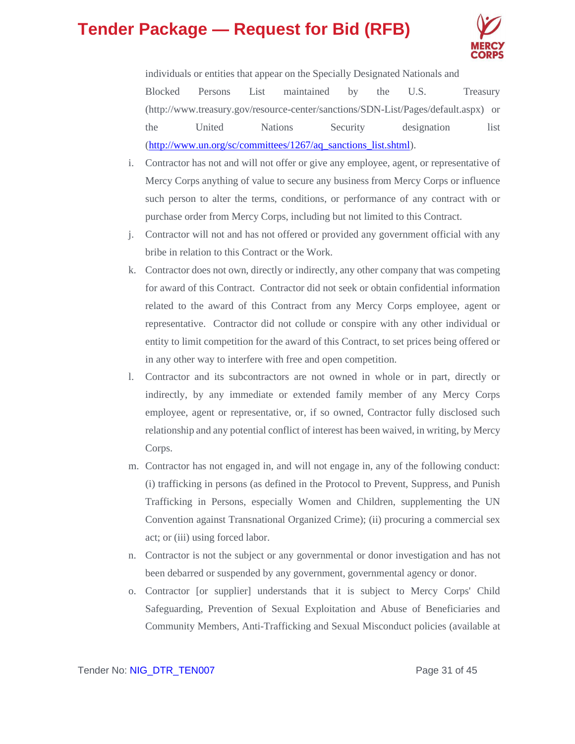

individuals or entities that appear on the Specially Designated Nationals and Blocked Persons List maintained by the U.S. Treasury (http://www.treasury.gov/resource-center/sanctions/SDN-List/Pages/default.aspx) or the United Nations Security designation list [\(http://www.un.org/sc/committees/1267/aq\\_sanctions\\_list.shtml\)](http://www.un.org/sc/committees/1267/aq_sanctions_list.shtml).

- i. Contractor has not and will not offer or give any employee, agent, or representative of Mercy Corps anything of value to secure any business from Mercy Corps or influence such person to alter the terms, conditions, or performance of any contract with or purchase order from Mercy Corps, including but not limited to this Contract.
- j. Contractor will not and has not offered or provided any government official with any bribe in relation to this Contract or the Work.
- k. Contractor does not own, directly or indirectly, any other company that was competing for award of this Contract. Contractor did not seek or obtain confidential information related to the award of this Contract from any Mercy Corps employee, agent or representative. Contractor did not collude or conspire with any other individual or entity to limit competition for the award of this Contract, to set prices being offered or in any other way to interfere with free and open competition.
- l. Contractor and its subcontractors are not owned in whole or in part, directly or indirectly, by any immediate or extended family member of any Mercy Corps employee, agent or representative, or, if so owned, Contractor fully disclosed such relationship and any potential conflict of interest has been waived, in writing, by Mercy Corps.
- m. Contractor has not engaged in, and will not engage in, any of the following conduct: (i) trafficking in persons (as defined in the Protocol to Prevent, Suppress, and Punish Trafficking in Persons, especially Women and Children, supplementing the UN Convention against Transnational Organized Crime); (ii) procuring a commercial sex act; or (iii) using forced labor.
- n. Contractor is not the subject or any governmental or donor investigation and has not been debarred or suspended by any government, governmental agency or donor.
- o. Contractor [or supplier] understands that it is subject to Mercy Corps' Child Safeguarding, Prevention of Sexual Exploitation and Abuse of Beneficiaries and Community Members, Anti-Trafficking and Sexual Misconduct policies (available at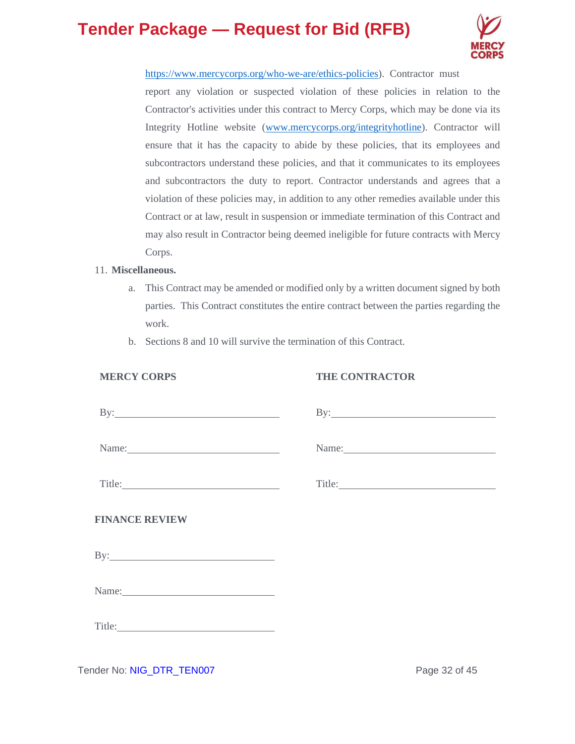

[https://www.mercycorps.org/who-we-are/ethics-policies\)](https://www.mercycorps.org/who-we-are/ethics-policies). Contractor must report any violation or suspected violation of these policies in relation to the Contractor's activities under this contract to Mercy Corps, which may be done via its Integrity Hotline website [\(www.mercycorps.org/integrityhotline\)](http://www.mercycorps.org/integrityhotline). Contractor will ensure that it has the capacity to abide by these policies, that its employees and subcontractors understand these policies, and that it communicates to its employees and subcontractors the duty to report. Contractor understands and agrees that a violation of these policies may, in addition to any other remedies available under this Contract or at law, result in suspension or immediate termination of this Contract and may also result in Contractor being deemed ineligible for future contracts with Mercy Corps.

### 11. **Miscellaneous.**

- a. This Contract may be amended or modified only by a written document signed by both parties. This Contract constitutes the entire contract between the parties regarding the work.
- b. Sections 8 and 10 will survive the termination of this Contract.

### **MERCY CORPS**

### **THE CONTRACTOR**

| $\mathbf{By:}\n \overrightarrow{\phantom{(2)}\n \phantom{\mathbf{b}}\n \phantom{\mathbf{b}}\n \phantom{\mathbf{b}}\n \phantom{\mathbf{b}}\n \phantom{\mathbf{b}}\n \phantom{\mathbf{b}}\n \phantom{\mathbf{b}}\n \phantom{\mathbf{b}}\n \phantom{\mathbf{b}}\n \phantom{\mathbf{b}}\n \phantom{\mathbf{b}}\n \phantom{\mathbf{b}}\n \phantom{\mathbf{b}}\n \phantom{\mathbf{b}}\n \phantom{\mathbf{b}}\n \phantom{\mathbf{b}}\n \phantom{\mathbf{b}}\n \phantom{\mathbf{b}}\n \phant$ |       |
|---------------------------------------------------------------------------------------------------------------------------------------------------------------------------------------------------------------------------------------------------------------------------------------------------------------------------------------------------------------------------------------------------------------------------------------------------------------------------------------|-------|
| Name:                                                                                                                                                                                                                                                                                                                                                                                                                                                                                 | Name: |
|                                                                                                                                                                                                                                                                                                                                                                                                                                                                                       |       |
| <b>FINANCE REVIEW</b>                                                                                                                                                                                                                                                                                                                                                                                                                                                                 |       |
|                                                                                                                                                                                                                                                                                                                                                                                                                                                                                       |       |
| Name: 2008. 2010. 2010. 2010. 2010. 2010. 2010. 2010. 2010. 2011. 2012. 2014. 2016. 2017. 2018. 2019. 2010. 20                                                                                                                                                                                                                                                                                                                                                                        |       |
|                                                                                                                                                                                                                                                                                                                                                                                                                                                                                       |       |

Tender No: NIG\_DTR\_TEN007 Page 32 of 45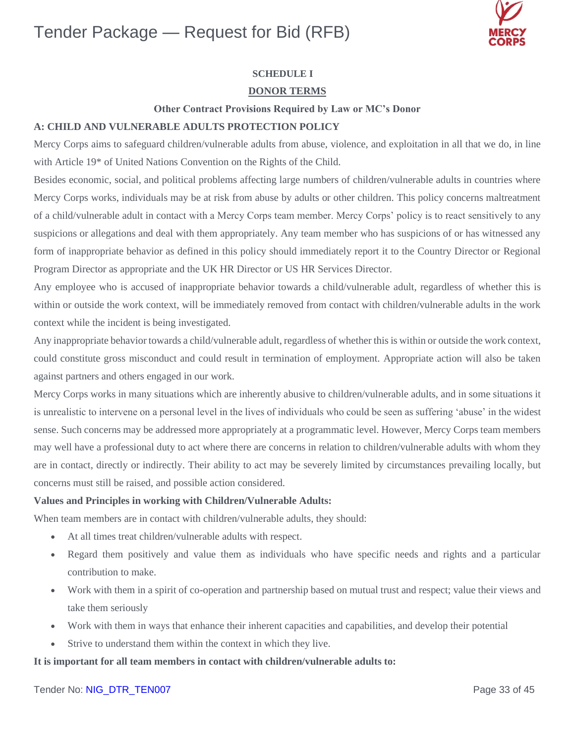

### **SCHEDULE I**

### **DONOR TERMS**

#### **Other Contract Provisions Required by Law or MC's Donor**

#### **A: CHILD AND VULNERABLE ADULTS PROTECTION POLICY**

Mercy Corps aims to safeguard children/vulnerable adults from abuse, violence, and exploitation in all that we do, in line with Article 19\* of United Nations Convention on the Rights of the Child.

Besides economic, social, and political problems affecting large numbers of children/vulnerable adults in countries where Mercy Corps works, individuals may be at risk from abuse by adults or other children. This policy concerns maltreatment of a child/vulnerable adult in contact with a Mercy Corps team member. Mercy Corps' policy is to react sensitively to any suspicions or allegations and deal with them appropriately. Any team member who has suspicions of or has witnessed any form of inappropriate behavior as defined in this policy should immediately report it to the Country Director or Regional Program Director as appropriate and the UK HR Director or US HR Services Director.

Any employee who is accused of inappropriate behavior towards a child/vulnerable adult, regardless of whether this is within or outside the work context, will be immediately removed from contact with children/vulnerable adults in the work context while the incident is being investigated.

Any inappropriate behavior towards a child/vulnerable adult, regardless of whether this is within or outside the work context, could constitute gross misconduct and could result in termination of employment. Appropriate action will also be taken against partners and others engaged in our work.

Mercy Corps works in many situations which are inherently abusive to children/vulnerable adults, and in some situations it is unrealistic to intervene on a personal level in the lives of individuals who could be seen as suffering 'abuse' in the widest sense. Such concerns may be addressed more appropriately at a programmatic level. However, Mercy Corps team members may well have a professional duty to act where there are concerns in relation to children/vulnerable adults with whom they are in contact, directly or indirectly. Their ability to act may be severely limited by circumstances prevailing locally, but concerns must still be raised, and possible action considered.

#### **Values and Principles in working with Children/Vulnerable Adults:**

When team members are in contact with children/vulnerable adults, they should:

- At all times treat children/vulnerable adults with respect.
- Regard them positively and value them as individuals who have specific needs and rights and a particular contribution to make.
- Work with them in a spirit of co-operation and partnership based on mutual trust and respect; value their views and take them seriously
- Work with them in ways that enhance their inherent capacities and capabilities, and develop their potential
- Strive to understand them within the context in which they live.

### **It is important for all team members in contact with children/vulnerable adults to:**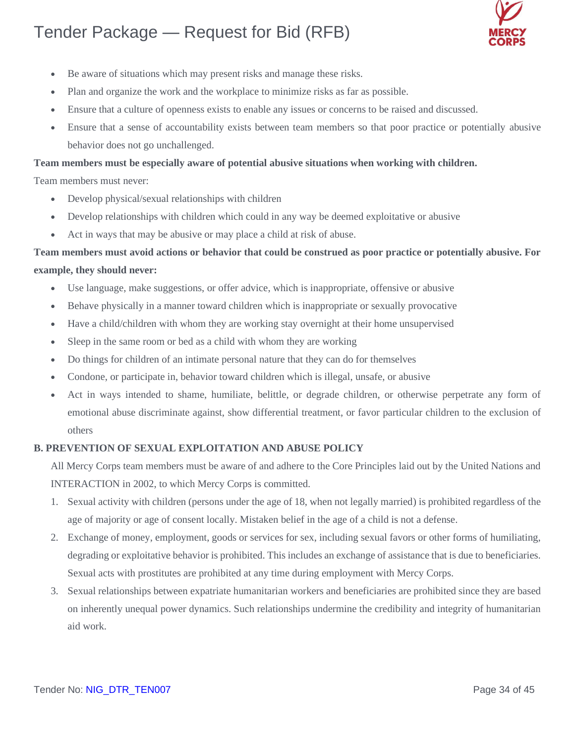

- Be aware of situations which may present risks and manage these risks.
- Plan and organize the work and the workplace to minimize risks as far as possible.
- Ensure that a culture of openness exists to enable any issues or concerns to be raised and discussed.
- Ensure that a sense of accountability exists between team members so that poor practice or potentially abusive behavior does not go unchallenged.

### **Team members must be especially aware of potential abusive situations when working with children.**

Team members must never:

- Develop physical/sexual relationships with children
- Develop relationships with children which could in any way be deemed exploitative or abusive
- Act in ways that may be abusive or may place a child at risk of abuse.

### **Team members must avoid actions or behavior that could be construed as poor practice or potentially abusive. For example, they should never:**

- Use language, make suggestions, or offer advice, which is inappropriate, offensive or abusive
- Behave physically in a manner toward children which is inappropriate or sexually provocative
- Have a child/children with whom they are working stay overnight at their home unsupervised
- Sleep in the same room or bed as a child with whom they are working
- Do things for children of an intimate personal nature that they can do for themselves
- Condone, or participate in, behavior toward children which is illegal, unsafe, or abusive
- Act in ways intended to shame, humiliate, belittle, or degrade children, or otherwise perpetrate any form of emotional abuse discriminate against, show differential treatment, or favor particular children to the exclusion of others

### **B. PREVENTION OF SEXUAL EXPLOITATION AND ABUSE POLICY**

All Mercy Corps team members must be aware of and adhere to the Core Principles laid out by the United Nations and INTERACTION in 2002, to which Mercy Corps is committed.

- 1. Sexual activity with children (persons under the age of 18, when not legally married) is prohibited regardless of the age of majority or age of consent locally. Mistaken belief in the age of a child is not a defense.
- 2. Exchange of money, employment, goods or services for sex, including sexual favors or other forms of humiliating, degrading or exploitative behavior is prohibited. This includes an exchange of assistance that is due to beneficiaries. Sexual acts with prostitutes are prohibited at any time during employment with Mercy Corps.
- 3. Sexual relationships between expatriate humanitarian workers and beneficiaries are prohibited since they are based on inherently unequal power dynamics. Such relationships undermine the credibility and integrity of humanitarian aid work.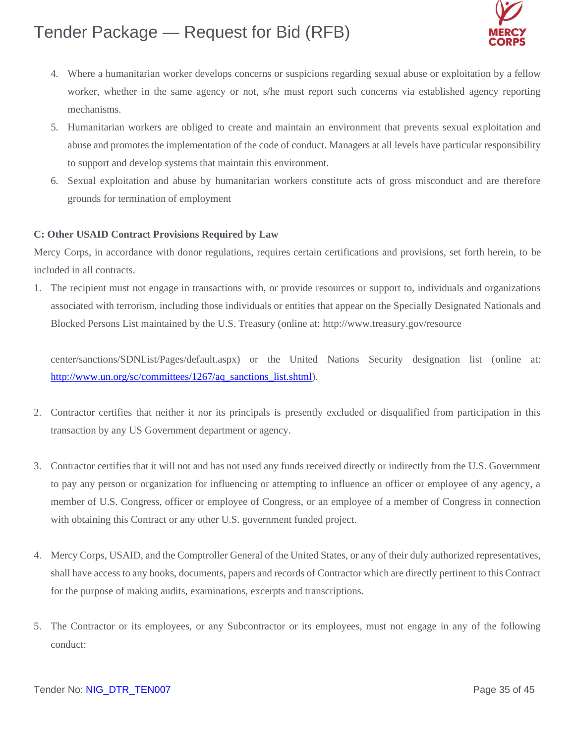

- 4. Where a humanitarian worker develops concerns or suspicions regarding sexual abuse or exploitation by a fellow worker, whether in the same agency or not, s/he must report such concerns via established agency reporting mechanisms.
- 5. Humanitarian workers are obliged to create and maintain an environment that prevents sexual exploitation and abuse and promotes the implementation of the code of conduct. Managers at all levels have particular responsibility to support and develop systems that maintain this environment.
- 6. Sexual exploitation and abuse by humanitarian workers constitute acts of gross misconduct and are therefore grounds for termination of employment

### **C: Other USAID Contract Provisions Required by Law**

Mercy Corps, in accordance with donor regulations, requires certain certifications and provisions, set forth herein, to be included in all contracts.

1. The recipient must not engage in transactions with, or provide resources or support to, individuals and organizations associated with terrorism, including those individuals or entities that appear on the Specially Designated Nationals and Blocked Persons List maintained by the U.S. Treasury (online at:<http://www.treasury.gov/resource>

center/sanctions/SDNList/Pages/default.aspx) or the United Nations Security designation list (online at: [http://www.un.org/sc/committees/1267/aq\\_sanctions\\_list.shtml\)](http://www.un.org/sc/committees/1267/aq_sanctions_list.shtml).

- 2. Contractor certifies that neither it nor its principals is presently excluded or disqualified from participation in this transaction by any US Government department or agency.
- 3. Contractor certifies that it will not and has not used any funds received directly or indirectly from the U.S. Government to pay any person or organization for influencing or attempting to influence an officer or employee of any agency, a member of U.S. Congress, officer or employee of Congress, or an employee of a member of Congress in connection with obtaining this Contract or any other U.S. government funded project.
- 4. Mercy Corps, USAID, and the Comptroller General of the United States, or any of their duly authorized representatives, shall have access to any books, documents, papers and records of Contractor which are directly pertinent to this Contract for the purpose of making audits, examinations, excerpts and transcriptions.
- 5. The Contractor or its employees, or any Subcontractor or its employees, must not engage in any of the following conduct: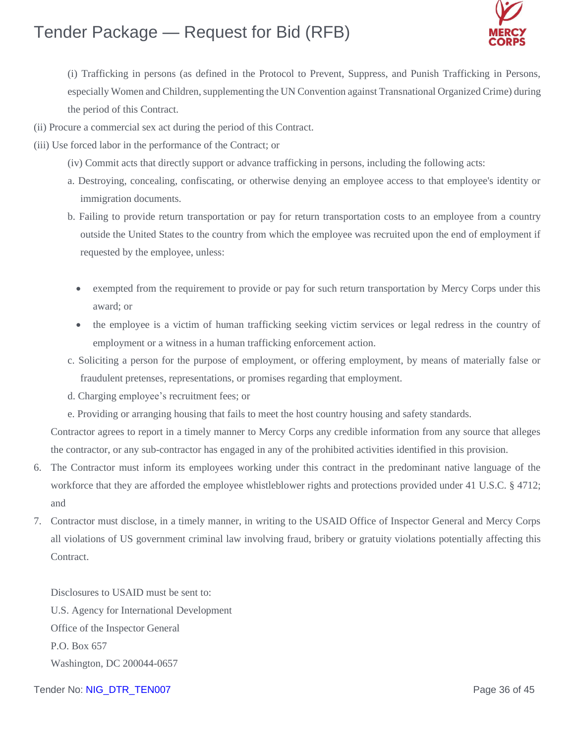

(i) Trafficking in persons (as defined in the Protocol to Prevent, Suppress, and Punish Trafficking in Persons, especially Women and Children, supplementing the UN Convention against Transnational Organized Crime) during the period of this Contract.

- (ii) Procure a commercial sex act during the period of this Contract.
- (iii) Use forced labor in the performance of the Contract; or
	- (iv) Commit acts that directly support or advance trafficking in persons, including the following acts:
	- a. Destroying, concealing, confiscating, or otherwise denying an employee access to that employee's identity or immigration documents.
	- b. Failing to provide return transportation or pay for return transportation costs to an employee from a country outside the United States to the country from which the employee was recruited upon the end of employment if requested by the employee, unless:
		- exempted from the requirement to provide or pay for such return transportation by Mercy Corps under this award; or
		- the employee is a victim of human trafficking seeking victim services or legal redress in the country of employment or a witness in a human trafficking enforcement action.
	- c. Soliciting a person for the purpose of employment, or offering employment, by means of materially false or fraudulent pretenses, representations, or promises regarding that employment.
	- d. Charging employee's recruitment fees; or
	- e. Providing or arranging housing that fails to meet the host country housing and safety standards.

Contractor agrees to report in a timely manner to Mercy Corps any credible information from any source that alleges the contractor, or any sub-contractor has engaged in any of the prohibited activities identified in this provision.

- 6. The Contractor must inform its employees working under this contract in the predominant native language of the workforce that they are afforded the employee whistleblower rights and protections provided under 41 U.S.C. § 4712; and
- 7. Contractor must disclose, in a timely manner, in writing to the USAID Office of Inspector General and Mercy Corps all violations of US government criminal law involving fraud, bribery or gratuity violations potentially affecting this Contract.

Disclosures to USAID must be sent to: U.S. Agency for International Development Office of the Inspector General P.O. Box 657 Washington, DC 200044-0657

### Tender No: NIG\_DTR\_TEN007 Page 36 of 45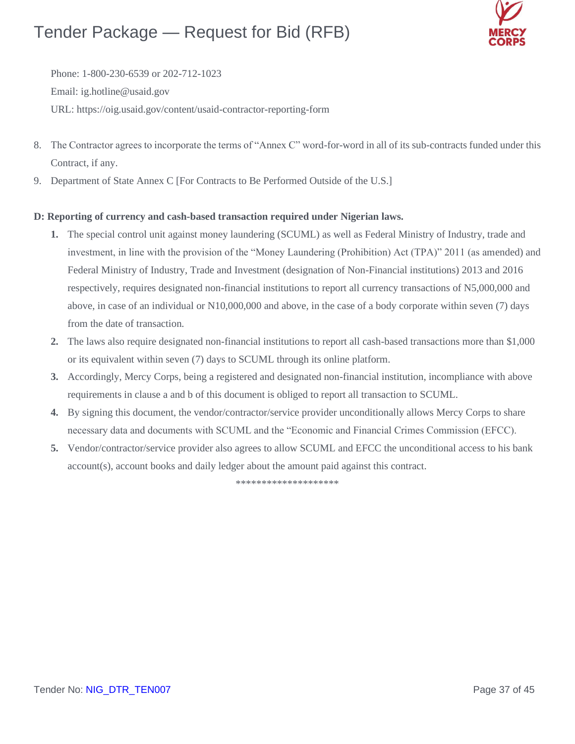

Phone: 1-800-230-6539 or 202-712-1023 Email: [ig.hotline@usaid.gov](mailto:ig.hotline@usaid.gov) URL: https://oig.usaid.gov/content/usaid-contractor-reporting-form

- 8. The Contractor agrees to incorporate the terms of "Annex C" word-for-word in all of its sub-contracts funded under this Contract, if any.
- 9. Department of State Annex C [For Contracts to Be Performed Outside of the U.S.]

### **D: Reporting of currency and cash-based transaction required under Nigerian laws.**

- **1.** The special control unit against money laundering (SCUML) as well as Federal Ministry of Industry, trade and investment, in line with the provision of the "Money Laundering (Prohibition) Act (TPA)" 2011 (as amended) and Federal Ministry of Industry, Trade and Investment (designation of Non-Financial institutions) 2013 and 2016 respectively, requires designated non-financial institutions to report all currency transactions of N5,000,000 and above, in case of an individual or N10,000,000 and above, in the case of a body corporate within seven (7) days from the date of transaction.
- **2.** The laws also require designated non-financial institutions to report all cash-based transactions more than \$1,000 or its equivalent within seven (7) days to SCUML through its online platform.
- **3.** Accordingly, Mercy Corps, being a registered and designated non-financial institution, incompliance with above requirements in clause a and b of this document is obliged to report all transaction to SCUML.
- **4.** By signing this document, the vendor/contractor/service provider unconditionally allows Mercy Corps to share necessary data and documents with SCUML and the "Economic and Financial Crimes Commission (EFCC).
- **5.** Vendor/contractor/service provider also agrees to allow SCUML and EFCC the unconditional access to his bank account(s), account books and daily ledger about the amount paid against this contract.

\*\*\*\*\*\*\*\*\*\*\*\*\*\*\*\*\*\*\*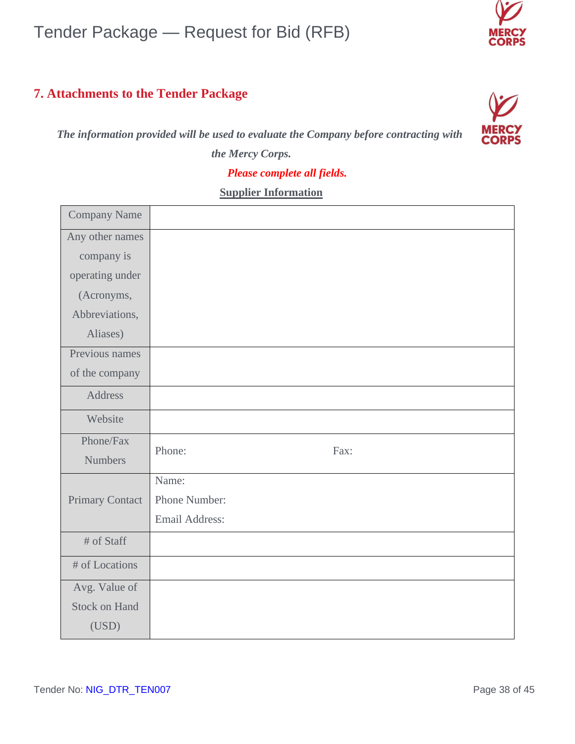### **7. Attachments to the Tender Package**

 *The information provided will be used to evaluate the Company before contracting with* 



*the Mercy Corps.*

### *Please complete all fields.*

### **Supplier Information**

| <b>Company Name</b>    |                |
|------------------------|----------------|
| Any other names        |                |
| company is             |                |
| operating under        |                |
| (Acronyms,             |                |
| Abbreviations,         |                |
| Aliases)               |                |
| Previous names         |                |
| of the company         |                |
| <b>Address</b>         |                |
| Website                |                |
| Phone/Fax              | Phone:<br>Fax: |
| <b>Numbers</b>         |                |
|                        | Name:          |
| <b>Primary Contact</b> | Phone Number:  |
|                        | Email Address: |
| # of Staff             |                |
| # of Locations         |                |
| Avg. Value of          |                |
| <b>Stock on Hand</b>   |                |
| (USD)                  |                |

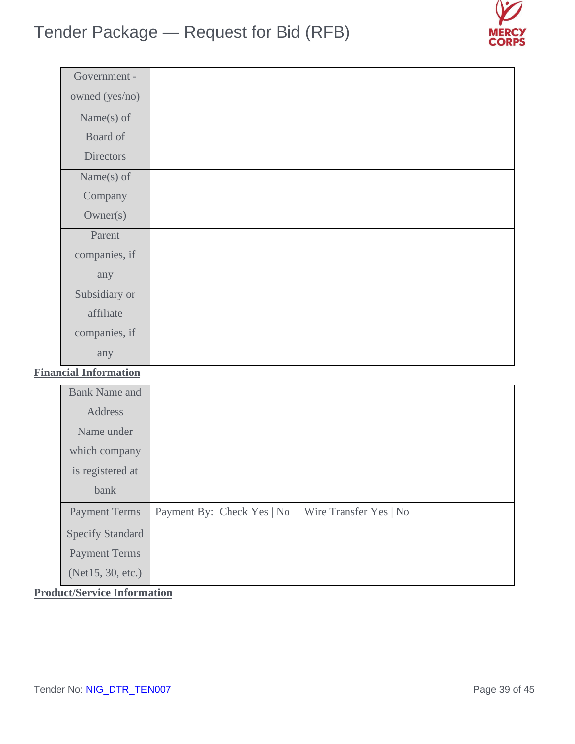

| Government -     |  |
|------------------|--|
| owned (yes/no)   |  |
| Name $(s)$ of    |  |
| Board of         |  |
| <b>Directors</b> |  |
| Name $(s)$ of    |  |
| Company          |  |
| Owner(s)         |  |
| Parent           |  |
| companies, if    |  |
| any              |  |
| Subsidiary or    |  |
| affiliate        |  |
| companies, if    |  |
| any              |  |

### **Financial Information**

| <b>Bank Name and</b>    |                            |                        |
|-------------------------|----------------------------|------------------------|
| Address                 |                            |                        |
| Name under              |                            |                        |
| which company           |                            |                        |
| is registered at        |                            |                        |
| bank                    |                            |                        |
| <b>Payment Terms</b>    | Payment By: Check Yes   No | Wire Transfer Yes   No |
| <b>Specify Standard</b> |                            |                        |
| <b>Payment Terms</b>    |                            |                        |
| (Net15, 30, etc.)       |                            |                        |

**Product/Service Information**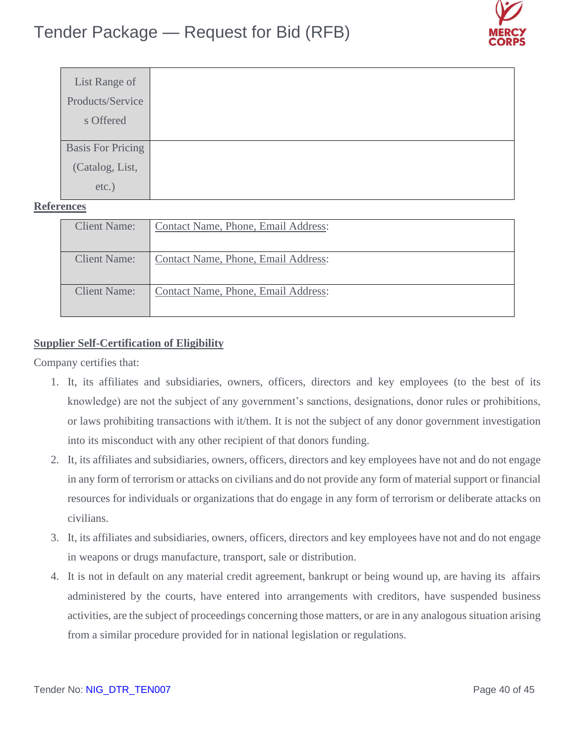

| List Range of            |  |
|--------------------------|--|
| Products/Service         |  |
| s Offered                |  |
|                          |  |
| <b>Basis For Pricing</b> |  |
| (Catalog, List,          |  |
| etc.)                    |  |

### **References**

| <b>Client Name:</b> | Contact Name, Phone, Email Address: |
|---------------------|-------------------------------------|
| <b>Client Name:</b> | Contact Name, Phone, Email Address: |
| <b>Client Name:</b> | Contact Name, Phone, Email Address: |

### **Supplier Self-Certification of Eligibility**

Company certifies that:

- 1. It, its affiliates and subsidiaries, owners, officers, directors and key employees (to the best of its knowledge) are not the subject of any government's sanctions, designations, donor rules or prohibitions, or laws prohibiting transactions with it/them. It is not the subject of any donor government investigation into its misconduct with any other recipient of that donors funding.
- 2. It, its affiliates and subsidiaries, owners, officers, directors and key employees have not and do not engage in any form of terrorism or attacks on civilians and do not provide any form of material support or financial resources for individuals or organizations that do engage in any form of terrorism or deliberate attacks on civilians.
- 3. It, its affiliates and subsidiaries, owners, officers, directors and key employees have not and do not engage in weapons or drugs manufacture, transport, sale or distribution.
- 4. It is not in default on any material credit agreement, bankrupt or being wound up, are having its affairs administered by the courts, have entered into arrangements with creditors, have suspended business activities, are the subject of proceedings concerning those matters, or are in any analogous situation arising from a similar procedure provided for in national legislation or regulations.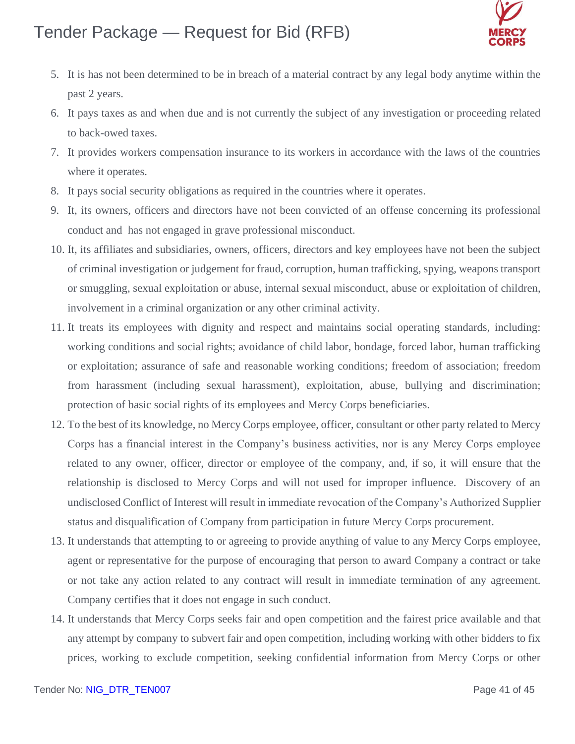

- 5. It is has not been determined to be in breach of a material contract by any legal body anytime within the past 2 years.
- 6. It pays taxes as and when due and is not currently the subject of any investigation or proceeding related to back-owed taxes.
- 7. It provides workers compensation insurance to its workers in accordance with the laws of the countries where it operates.
- 8. It pays social security obligations as required in the countries where it operates.
- 9. It, its owners, officers and directors have not been convicted of an offense concerning its professional conduct and has not engaged in grave professional misconduct.
- 10. It, its affiliates and subsidiaries, owners, officers, directors and key employees have not been the subject of criminal investigation or judgement for fraud, corruption, human trafficking, spying, weapons transport or smuggling, sexual exploitation or abuse, internal sexual misconduct, abuse or exploitation of children, involvement in a criminal organization or any other criminal activity.
- 11. It treats its employees with dignity and respect and maintains social operating standards, including: working conditions and social rights; avoidance of child labor, bondage, forced labor, human trafficking or exploitation; assurance of safe and reasonable working conditions; freedom of association; freedom from harassment (including sexual harassment), exploitation, abuse, bullying and discrimination; protection of basic social rights of its employees and Mercy Corps beneficiaries.
- 12. To the best of its knowledge, no Mercy Corps employee, officer, consultant or other party related to Mercy Corps has a financial interest in the Company's business activities, nor is any Mercy Corps employee related to any owner, officer, director or employee of the company, and, if so, it will ensure that the relationship is disclosed to Mercy Corps and will not used for improper influence. Discovery of an undisclosed Conflict of Interest will result in immediate revocation of the Company's Authorized Supplier status and disqualification of Company from participation in future Mercy Corps procurement.
- 13. It understands that attempting to or agreeing to provide anything of value to any Mercy Corps employee, agent or representative for the purpose of encouraging that person to award Company a contract or take or not take any action related to any contract will result in immediate termination of any agreement. Company certifies that it does not engage in such conduct.
- 14. It understands that Mercy Corps seeks fair and open competition and the fairest price available and that any attempt by company to subvert fair and open competition, including working with other bidders to fix prices, working to exclude competition, seeking confidential information from Mercy Corps or other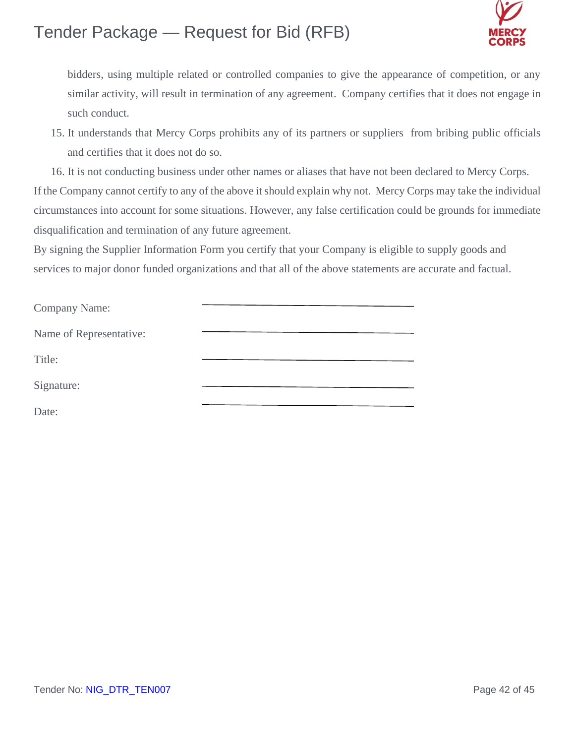

bidders, using multiple related or controlled companies to give the appearance of competition, or any similar activity, will result in termination of any agreement. Company certifies that it does not engage in such conduct.

15. It understands that Mercy Corps prohibits any of its partners or suppliers from bribing public officials and certifies that it does not do so.

16. It is not conducting business under other names or aliases that have not been declared to Mercy Corps. If the Company cannot certify to any of the above it should explain why not. Mercy Corps may take the individual circumstances into account for some situations. However, any false certification could be grounds for immediate disqualification and termination of any future agreement.

By signing the Supplier Information Form you certify that your Company is eligible to supply goods and services to major donor funded organizations and that all of the above statements are accurate and factual.

| Company Name:           |  |
|-------------------------|--|
| Name of Representative: |  |
| Title:                  |  |
| Signature:              |  |
| $\text{Date}^{\star}$   |  |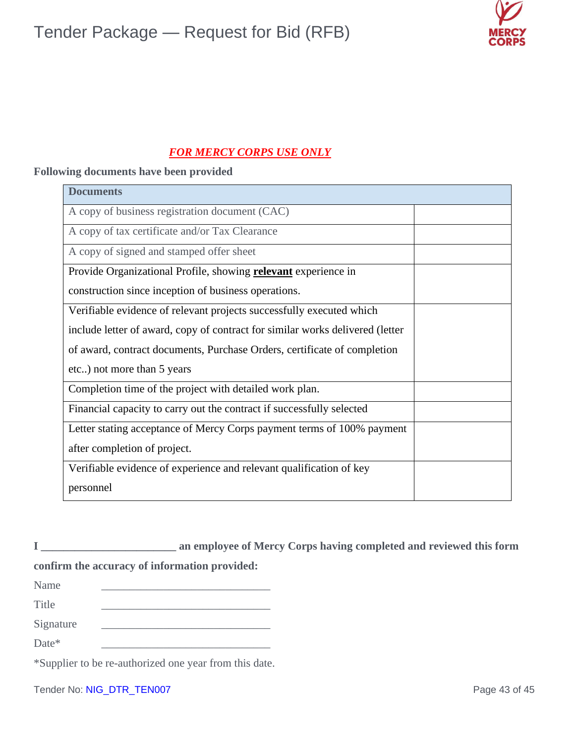

### *FOR MERCY CORPS USE ONLY*

### **Following documents have been provided**

| <b>Documents</b>                                                              |  |
|-------------------------------------------------------------------------------|--|
| A copy of business registration document (CAC)                                |  |
| A copy of tax certificate and/or Tax Clearance                                |  |
| A copy of signed and stamped offer sheet                                      |  |
| Provide Organizational Profile, showing <b>relevant</b> experience in         |  |
| construction since inception of business operations.                          |  |
| Verifiable evidence of relevant projects successfully executed which          |  |
| include letter of award, copy of contract for similar works delivered (letter |  |
| of award, contract documents, Purchase Orders, certificate of completion      |  |
| etc) not more than 5 years                                                    |  |
| Completion time of the project with detailed work plan.                       |  |
| Financial capacity to carry out the contract if successfully selected         |  |
| Letter stating acceptance of Mercy Corps payment terms of 100% payment        |  |
| after completion of project.                                                  |  |
| Verifiable evidence of experience and relevant qualification of key           |  |
| personnel                                                                     |  |

**I \_\_\_\_\_\_\_\_\_\_\_\_\_\_\_\_\_\_\_\_\_\_\_\_ an employee of Mercy Corps having completed and reviewed this form** 

### **confirm the accuracy of information provided:**

\*Supplier to be re-authorized one year from this date.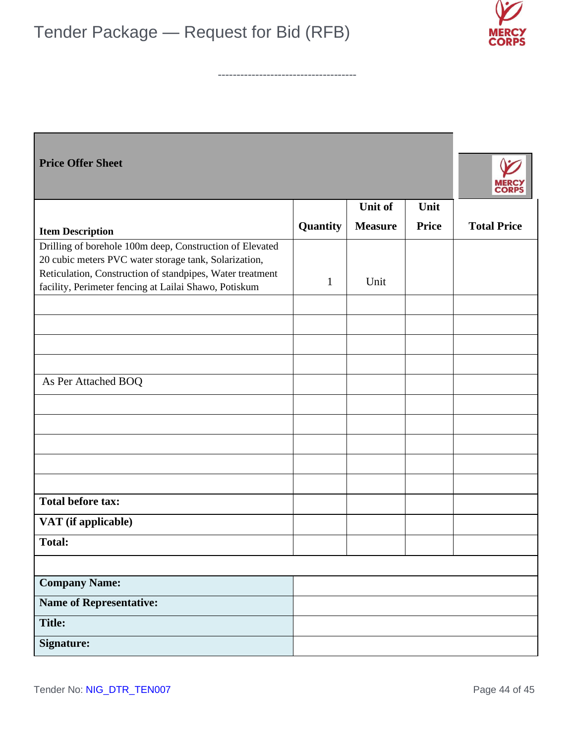



| <b>Price Offer Sheet</b>                                                                                                                                                                                                                |              |                |              |                    |
|-----------------------------------------------------------------------------------------------------------------------------------------------------------------------------------------------------------------------------------------|--------------|----------------|--------------|--------------------|
|                                                                                                                                                                                                                                         |              | Unit of        | Unit         |                    |
| <b>Item Description</b>                                                                                                                                                                                                                 | Quantity     | <b>Measure</b> | <b>Price</b> | <b>Total Price</b> |
| Drilling of borehole 100m deep, Construction of Elevated<br>20 cubic meters PVC water storage tank, Solarization,<br>Reticulation, Construction of standpipes, Water treatment<br>facility, Perimeter fencing at Lailai Shawo, Potiskum | $\mathbf{1}$ | Unit           |              |                    |
|                                                                                                                                                                                                                                         |              |                |              |                    |
|                                                                                                                                                                                                                                         |              |                |              |                    |
|                                                                                                                                                                                                                                         |              |                |              |                    |
|                                                                                                                                                                                                                                         |              |                |              |                    |
| As Per Attached BOQ                                                                                                                                                                                                                     |              |                |              |                    |
|                                                                                                                                                                                                                                         |              |                |              |                    |
|                                                                                                                                                                                                                                         |              |                |              |                    |
|                                                                                                                                                                                                                                         |              |                |              |                    |
|                                                                                                                                                                                                                                         |              |                |              |                    |
|                                                                                                                                                                                                                                         |              |                |              |                    |
| <b>Total before tax:</b>                                                                                                                                                                                                                |              |                |              |                    |
| VAT (if applicable)                                                                                                                                                                                                                     |              |                |              |                    |
| <b>Total:</b>                                                                                                                                                                                                                           |              |                |              |                    |
|                                                                                                                                                                                                                                         |              |                |              |                    |
| <b>Company Name:</b>                                                                                                                                                                                                                    |              |                |              |                    |
| <b>Name of Representative:</b>                                                                                                                                                                                                          |              |                |              |                    |
| <b>Title:</b>                                                                                                                                                                                                                           |              |                |              |                    |
| <b>Signature:</b>                                                                                                                                                                                                                       |              |                |              |                    |

**-------------------------------------**